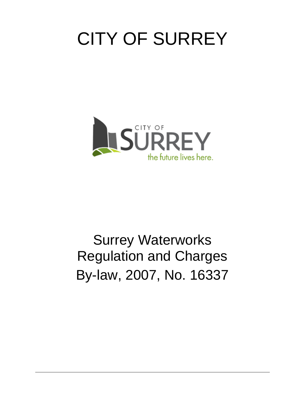# CITY OF SURREY



# Surrey Waterworks Regulation and Charges By-law, 2007, No. 16337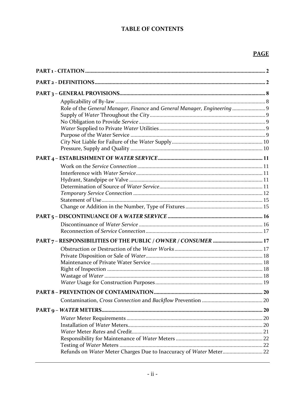# **TABLE OF CONTENTS**

# PAGE

| Role of the General Manager, Finance and General Manager, Engineering |  |
|-----------------------------------------------------------------------|--|
|                                                                       |  |
|                                                                       |  |
|                                                                       |  |
|                                                                       |  |
|                                                                       |  |
|                                                                       |  |
|                                                                       |  |
|                                                                       |  |
|                                                                       |  |
|                                                                       |  |
| Refunds on Water Meter Charges Due to Inaccuracy of Water Meter 22    |  |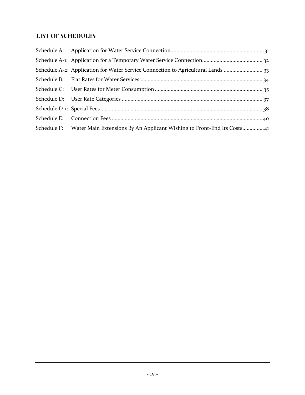# **LIST OF SCHEDULES**

| Schedule A-2: Application for Water Service Connection to Agricultural Lands  33   |
|------------------------------------------------------------------------------------|
|                                                                                    |
|                                                                                    |
|                                                                                    |
|                                                                                    |
|                                                                                    |
| Schedule F: Water Main Extensions By An Applicant Wishing to Front-End Its Costs41 |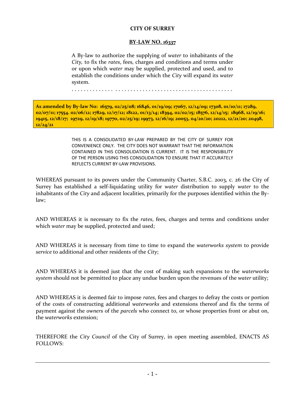#### **CITY OF SURREY**

#### **BY-LAW NO. 16337**

A By-law to authorize the supplying of *water* to inhabitants of the *City,* to fix the *rates*, fees, charges and conditions and terms under or upon which *water* may be supplied, protected and used, and to establish the conditions under which the *City* will expand its *water* system.

. . . . . . . . . . . . . . . . . . . . . . . . . . . . . . . . . . . . . . . . . . . . . . . . . . . . .

**As amended by By-law No: 16579, 02/25/08; 16846, 01/19/09; 17067, 12/14/09; 17308, 01/10/11; 17289, 02/07/11; 17554. 02/06/12; 17829, 12/17/12; 18122, 01/13/14; 18394, 02/02/15; 18576, 12/14/15; 18968, 12/19/16; 19415, 12/18/17; 19729, 12/19/18; 19770, 02/25/19; 19973, 12/16/19; 20053, 04/20/20; 20212, 12/21/20; 20498, 12/24/21**

> THIS IS A CONSOLIDATED BY-LAW PREPARED BY THE CITY OF SURREY FOR CONVENIENCE ONLY. THE CITY DOES NOT WARRANT THAT THE INFORMATION CONTAINED IN THIS CONSOLIDATION IS CURRENT. IT IS THE RESPONSIBILITY OF THE PERSON USING THIS CONSOLIDATION TO ENSURE THAT IT ACCURATELY REFLECTS CURRENT BY-LAW PROVISIONS.

WHEREAS pursuant to its powers under the Community Charter, S.B.C. 2003, c. 26 the City of Surrey has established a self-liquidating utility for *water* distribution to supply *water* to the inhabitants of the *City* and adjacent localities, primarily for the purposes identified within the Bylaw;

AND WHEREAS it is necessary to fix the *rates*, fees, charges and terms and conditions under which *water* may be supplied, protected and used;

AND WHEREAS it is necessary from time to time to expand the *waterworks system* to provide *service* to additional and other residents of the *City*;

AND WHEREAS it is deemed just that the cost of making such expansions to the *waterworks system* should not be permitted to place any undue burden upon the revenues of the *water* utility;

AND WHEREAS it is deemed fair to impose *rates*, fees and charges to defray the costs or portion of the costs of constructing additional *waterworks* and extensions thereof and fix the terms of payment against the *owners* of the *parcels* who connect to, or whose properties front or abut on, the *waterworks* extension;

THEREFORE the *City Council* of the City of Surrey, in open meeting assembled, ENACTS AS FOLLOWS: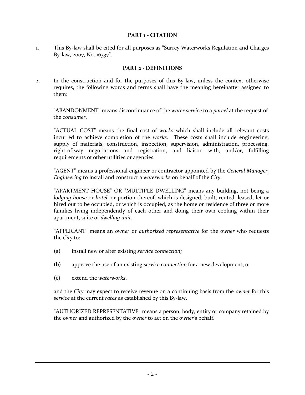#### **PART 1 - CITATION**

<span id="page-5-0"></span>1. This By-law shall be cited for all purposes as "Surrey Waterworks Regulation and Charges By-law, 2007, No. 16337".

#### **PART 2 - DEFINITIONS**

<span id="page-5-1"></span>2. In the construction and for the purposes of this By-law, unless the context otherwise requires, the following words and terms shall have the meaning hereinafter assigned to them:

"ABANDONMENT" means discontinuance of the *water service* to a *parcel* at the request of the *consumer*.

"ACTUAL COST" means the final cost of *works* which shall include all relevant costs incurred to achieve completion of the *works*. These costs shall include engineering, supply of materials, construction, inspection, supervision, administration, processing, right-of-way negotiations and registration, and liaison with, and/or, fulfilling requirements of other utilities or agencies.

"AGENT" means a professional engineer or contractor appointed by the *General Manager, Engineering* to install and construct a *waterworks* on behalf of the *City*.

"APARTMENT HOUSE" OR "MULTIPLE DWELLING" means any building, not being a *lodging-house* or *hotel*, or portion thereof, which is designed, built, rented, leased, let or hired out to be occupied, or which is occupied, as the home or residence of three or more families living independently of each other and doing their own cooking within their apartment, suite or *dwelling unit.*

"APPLICANT" means an *owner* or *authorized representative* for the *owner* who requests the *City* to:

- (a) install new or alter existing *service connection;*
- (b) approve the use of an existing *service connection* for a new development; or
- (c) extend the *waterworks*,

and the *City* may expect to receive revenue on a continuing basis from the *owner* for this *service* at the current *rates* as established by this By-law.

"AUTHORIZED REPRESENTATIVE" means a person, body, entity or company retained by the *owner* and authorized by the *owner* to act on the *owner*'s behalf.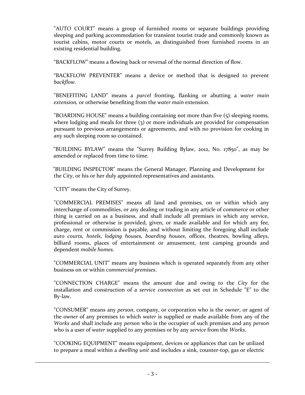"AUTO COURT" means a group of furnished rooms or separate buildings providing sleeping and parking accommodation for transient tourist trade and commonly known as tourist cabins, motor courts or motels, as distinguished from furnished rooms in an existing residential building.

"BACKFLOW" means a flowing back or reversal of the normal direction of flow.

"BACKFLOW PREVENTER" means a device or method that is designed to prevent *backflow*.

"BENEFITING LAND" means a *parcel* fronting, flanking or abutting a *water main extension,* or otherwise benefiting from the *water main* extension.

"BOARDING HOUSE" means a building containing not more than five (5) sleeping rooms, where lodging and meals for three  $(3)$  or more individuals are provided for compensation pursuant to previous arrangements or agreements, and with no provision for cooking in any such sleeping room so contained.

"BUILDING BYLAW" means the "Surrey Building Bylaw, 2012, No. 17850", as may be amended or replaced from time to time.

"BUILDING INSPECTOR" means the General Manager, Planning and Development for the *City*, or his or her duly appointed representatives and assistants.

"CITY" means the City of Surrey.

"COMMERCIAL PREMISES" means all land and premises, on or within which any interchange of commodities, or any dealing or trading in any article of commerce or other thing is carried on as a business, and shall include all premises in which any service, professional or otherwise is provided, given, or made available and for which any fee, charge, rent or commission is payable, and without limiting the foregoing shall include *auto courts, hotels*, *lodging houses*, *boarding houses*, offices, theatres, bowling alleys, billiard rooms, places of entertainment or amusement, tent camping grounds and dependent *mobile homes*.

"COMMERCIAL UNIT" means any business which is operated separately from any other business on or within *commercial premises*.

"CONNECTION CHARGE" means the amount due and owing to the *City* for the installation and construction of a *service connection* as set out in Schedule "E" to the By-law.

"CONSUMER" means any *person*, company, or corporation who is the *owner*, or agent of the *owner* of any premises to which *water* is supplied or made available from any of the *Works* and shall include any *person* who is the occupier of such premises and any *person* who is a user of *water* supplied to any premises or by any *service* from the *Works*.

"COOKING EQUIPMENT" means equipment, devices or appliances that can be utilized to prepare a meal within a *dwelling unit* and includes a sink, counter-top, gas or electric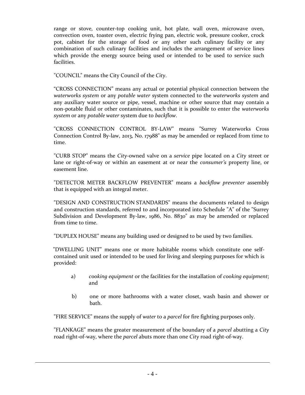range or stove, counter-top cooking unit, hot plate, wall oven, microwave oven, convection oven, toaster oven, electric frying pan, electric wok, pressure cooker, crock pot, cabinet for the storage of food or any other such culinary facility or any combination of such culinary facilities and includes the arrangement of service lines which provide the energy source being used or intended to be used to service such facilities.

"COUNCIL" means the City Council of the *City*.

"CROSS CONNECTION" means any actual or potential physical connection between the *waterworks system* or any *potable water* system connected to the *waterworks system* and any auxiliary water source or pipe, vessel, machine or other source that may contain a non-potable fluid or other contaminates, such that it is possible to enter the *waterworks system* or any *potable water* system due to *backflow*.

"CROSS CONNECTION CONTROL BY-LAW" means "Surrey Waterworks Cross Connection Control By-law, 2013, No. 17988" as may be amended or replaced from time to time.

"CURB STOP" means the *City*-owned valve on a *service* pipe located on a *City* street or lane or right-of-way or within an easement at or near the *consumer's* property line, or easement line.

"DETECTOR METER BACKFLOW PREVENTER" means a *backflow preventer* assembly that is equipped with an integral meter.

"DESIGN AND CONSTRUCTION STANDARDS" means the documents related to design and construction standards, referred to and incorporated into Schedule "A" of the "Surrey Subdivision and Development By-law, 1986, No. 8830" as may be amended or replaced from time to time.

"DUPLEX HOUSE" means any building used or designed to be used by two families.

"DWELLING UNIT" means one or more habitable rooms which constitute one selfcontained unit used or intended to be used for living and sleeping purposes for which is provided:

- a) *cooking equipment* or the facilities for the installation of *cooking equipment*; and
- b) one or more bathrooms with a water closet, wash basin and shower or bath.

"FIRE SERVICE" means the supply of *water* to a *parcel* for fire fighting purposes only.

"FLANKAGE" means the greater measurement of the boundary of a *parcel* abutting a *City* road right-of-way, where the *parcel* abuts more than one *City* road right-of-way.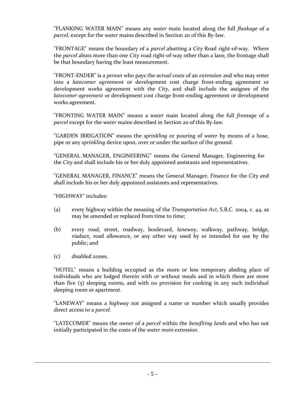"FLANKING WATER MAIN" means any *water* main located along the full *flankage* of a *parcel,* except for the *water* mains described in Section 20 of this By-law.

"FRONTAGE" means the boundary of a *parcel* abutting a *City* Road right-of-way. Where the *parcel* abuts more than one *City* road right-of-way other than a lane, the frontage shall be that boundary having the least measurement.

"FRONT-ENDER" is a *person* who pays the *actual costs* of an *extension* and who may enter into a *latecomer agreement* or development cost charge front-ending agreement or development works agreement with the *City*, and shall include the assignee of the *latecomer agreement* or development cost charge front-ending agreement or development works agreement.

"FRONTING WATER MAIN" means a *water* main located along the full *frontage* of a *parcel* except for the *water* mains described in Section 20 of this By-law*.*

"GARDEN IRRIGATION" means the *sprinkling* or pouring of *water* by means of a hose, pipe or any *sprinkling* device upon, over or under the surface of the ground.

"GENERAL MANAGER, ENGINEERING" means the General Manager, Engineering for the *City* and shall include his or her duly appointed assistants and representatives.

"GENERAL MANAGER, FINANCE" means the General Manager, Finance for the *City* and shall include his or her duly appointed assistants and representatives.

"HIGHWAY" includes:

- (a) every highway within the meaning of the *Transportation Act*, S.B.C. 2004, c. 44, as may be amended or replaced from time to time;
- (b) every road, street, roadway, boulevard, *laneway*, walkway, pathway, bridge, viaduct, road allowance, or any other way used by or intended for use by the public; and
- (c) disabled zones.

"HOTEL" means a building occupied as the more or less temporary abiding place of individuals who are lodged therein with or without meals and in which there are more than five (5) sleeping rooms, and with no provision for cooking in any such individual sleeping room or apartment.

"LANEWAY" means a *highway* not assigned a name or number which usually provides direct access to a *parcel*.

"LATECOMER" means the *owner* of a *parcel* within the *benefiting lands* and who has not initially participated in the costs of the *water main extension*.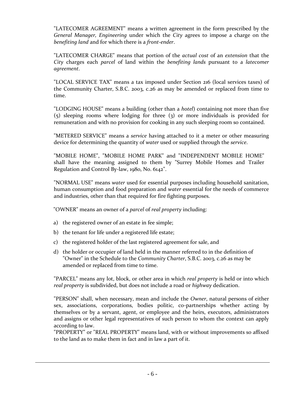"LATECOMER AGREEMENT" means a written agreement in the form prescribed by the *General Manager, Engineering* under which the *City* agrees to impose a charge on the *benefiting land* and for which there is a *front-ender*.

"LATECOMER CHARGE" means that portion of the *actual cost* of an *extension* that the *City* charges each *parcel* of land within the *benefiting lands* pursuant to a *latecomer agreement*.

"LOCAL SERVICE TAX" means a tax imposed under Section 216 (local services taxes) of the Community Charter, S.B.C. 2003, c.26 as may be amended or replaced from time to time.

"LODGING HOUSE" means a building (other than a *hotel*) containing not more than five (5) sleeping rooms where lodging for three (3) or more individuals is provided for remuneration and with no provision for cooking in any such sleeping room so contained.

"METERED SERVICE" means a *service* having attached to it a meter or other measuring device for determining the quantity of *water* used or supplied through the *service*.

"MOBILE HOME", "MOBILE HOME PARK" and "INDEPENDENT MOBILE HOME" shall have the meaning assigned to them by "Surrey Mobile Homes and Trailer Regulation and Control By-law, 1980, No. 6142".

"NORMAL USE" means *water* used for essential purposes including household sanitation, human consumption and food preparation and *water* essential for the needs of commerce and industries, other than that required for fire fighting purposes.

"OWNER" means an owner of a *parcel* of *real property* including:

- a) the registered owner of an estate in fee simple;
- b) the tenant for life under a registered life estate;
- c) the registered holder of the last registered agreement for sale, and
- d) the holder or occupier of land held in the manner referred to in the definition of "Owner" in the Schedule to the *Community Charter*, S.B.C. 2003, c.26 as may be amended or replaced from time to time.

"PARCEL" means any lot, block, or other area in which *real property* is held or into which *real property* is subdivided, but does not include a road or *highway* dedication.

"PERSON" shall, when necessary, mean and include the *Owner*, natural persons of either sex, associations, corporations, bodies politic, co-partnerships whether acting by themselves or by a servant, agent, or employee and the heirs, executors, administrators and assigns or other legal representatives of such person to whom the context can apply according to law.

"PROPERTY" or "REAL PROPERTY" means land, with or without improvements so affixed to the land as to make them in fact and in law a part of it.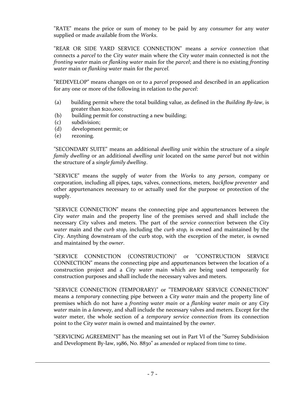"RATE" means the price or sum of money to be paid by any *consumer* for any *water* supplied or made available from the *Works*.

"REAR OR SIDE YARD SERVICE CONNECTION" means a *service connection* that connects a *parcel* to the *City water* main where the *City water* main connected is not the *fronting water* main or *flanking water* main for the *parcel*; and there is no existing *fronting water* main or *flanking water* main for the *parcel.*

"REDEVELOP" means changes on or to a *parcel* proposed and described in an application for any one or more of the following in relation to the *parcel*:

- (a) building permit where the total building value, as defined in the *Building By-law*, is greater than \$120,000;
- (b) building permit for constructing a new building;
- (c) subdivision;
- (d) development permit; or
- (e) rezoning.

"SECONDARY SUITE" means an additional *dwelling unit* within the structure of a *single family dwelling* or an additional *dwelling unit* located on the same *parcel* but not within the structure of a *single family dwelling*.

"SERVICE" means the supply of *water* from the *Works* to any *person*, company or corporation, including all pipes, taps, valves, connections, meters, *backflow preventer* and other appurtenances necessary to or actually used for the purpose or protection of the supply.

"SERVICE CONNECTION" means the connecting pipe and appurtenances between the *City water* main and the property line of the premises served and shall include the necessary *City* valves and meters. The part of the *service connection* between the *City water* main and the *curb stop,* including the *curb stop,* is owned and maintained by the *City*. Anything downstream of the curb stop, with the exception of the meter, is owned and maintained by the *owner*.

"SERVICE CONNECTION (CONSTRUCTION)" or "CONSTRUCTION SERVICE CONNECTION" means the connecting pipe and appurtenances between the location of a construction project and a *City water* main which are being used temporarily for construction purposes and shall include the necessary valves and meters.

"SERVICE CONNECTION (TEMPORARY)" or "TEMPORARY SERVICE CONNECTION" means a *temporary* connecting pipe between a *City water* main and the property line of premises which do not have a *fronting water main* or a *flanking water main* or any *City water* main in a *laneway*, and shall include the necessary valves and meters. Except for the *water* meter, the whole section of a *temporary service connection* from its connection point to the *City water* main is owned and maintained by the *owner*.

"SERVICING AGREEMENT" has the meaning set out in Part VI of the "Surrey Subdivision and Development By-law, 1986, No. 8830" as amended or replaced from time to time.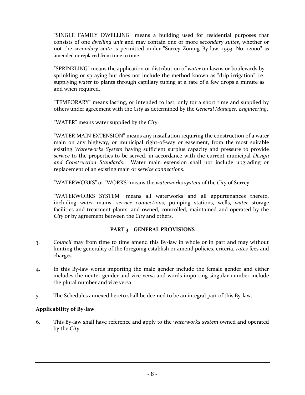"SINGLE FAMILY DWELLING" means a building used for residential purposes that consists of one *dwelling unit* and may contain one or more *secondary suites*, whether or not the *secondary suite* is permitted under "Surrey Zoning By-law, 1993, No. 12000" as amended or replaced from time to time.

"SPRINKLING" means the application or distribution of *water* on lawns or boulevards by sprinkling or spraying but does not include the method known as "drip irrigation" i.e. supplying *water* to plants through capillary tubing at a rate of a few drops a minute as and when required.

"TEMPORARY" means lasting, or intended to last, only for a short time and supplied by others under agreement with the *City* as determined by the *General Manager, Engineering*.

"WATER" means water supplied by the *City*.

"WATER MAIN EXTENSION" means any installation requiring the construction of a water main on any highway, or municipal right-of-way or easement, from the most suitable existing *Waterworks System* having sufficient surplus capacity and pressure to provide *service* to the properties to be served, in accordance with the current municipal *Design and Construction Standards*. Water main extension shall not include upgrading or replacement of an existing main or *service connections*.

"WATERWORKS" or "WORKS" means the *waterworks system* of the *City* of Surrey.

"WATERWORKS SYSTEM" means all waterworks and all appurtenances thereto, including *water* mains, *service connections*, pumping stations, wells, *water* storage facilities and treatment plants, and owned, controlled, maintained and operated by the *City* or by agreement between the *City* and others.

#### **PART 3 – GENERAL PROVISIONS**

- <span id="page-11-0"></span>3. *Council* may from time to time amend this By-law in whole or in part and may without limiting the generality of the foregoing establish or amend policies, criteria, *rates* fees and charges.
- 4. In this By-law words importing the male gender include the female gender and either includes the neuter gender and vice-versa and words importing singular number include the plural number and vice versa.
- 5. The Schedules annexed hereto shall be deemed to be an integral part of this By-law.

#### <span id="page-11-1"></span>**Applicability of By-law**

6. This By-law shall have reference and apply to the *waterworks system* owned and operated by the *City*.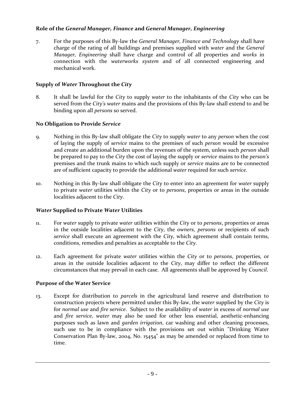#### <span id="page-12-0"></span>**Role of the** *General Manager, Finance* **and** *General Manager, Engineering*

7. For the purposes of this By-law the *General Manager, Finance and Technology* shall have charge of the rating of all buildings and premises supplied with *water* and the *General Manager, Engineering* shall have charge and control of all properties and *works* in connection with the *waterworks system* and of all connected engineering and mechanical work.

#### <span id="page-12-1"></span>**Supply of** *Water* **Throughout the** *City*

8. It shall be lawful for the *City* to supply *water* to the inhabitants of the *City* who can be served from the *City's water* mains and the provisions of this By-law shall extend to and be binding upon all *persons* so served.

#### <span id="page-12-2"></span>**No Obligation to Provide** *Service*

- 9. Nothing in this By-law shall obligate the *City* to supply *water* to any *person* when the cost of laying the supply of *service* mains to the premises of such *person* would be excessive and create an additional burden upon the revenues of the system, unless such *person* shall be prepared to pay to the *City* the cost of laying the supply or *service* mains to the *person's* premises and the trunk mains to which such supply or *service* mains are to be connected are of sufficient capacity to provide the additional *water* required for such *service*.
- 10. Nothing in this By-law shall obligate the *City* to enter into an agreement for *water* supply to private *water* utilities within the *City* or to *persons*, properties or areas in the outside localities adjacent to the *City*.

# <span id="page-12-3"></span>*Water* **Supplied to Private** *Water* **Utilities**

- 11. For *water* supply to private *water* utilities within the *City* or to *persons*, properties or areas in the outside localities adjacent to the *City*, the *owners*, *persons* or recipients of such *service* shall execute an agreement with the *City*, which agreement shall contain terms, conditions, remedies and penalties as acceptable to the *City*.
- 12. Each agreement for private *water* utilities within the *City* or to *persons*, properties, or areas in the outside localities adjacent to the *City*, may differ to reflect the different circumstances that may prevail in each case. All agreements shall be approved by *Council*.

#### <span id="page-12-4"></span>**Purpose of the Water Service**

13. Except for distribution to *parcels* in the agricultural land reserve and distribution to construction projects where permitted under this By-law, the *water* supplied by the *City* is for *normal use* and *fire service*. Subject to the availability of *water* in excess of *normal use* and *fire service*, *water* may also be used for other less essential, aesthetic-enhancing purposes such as lawn and *garden irrigation*, car washing and other cleaning processes, such use to be in compliance with the provisions set out within "Drinking Water Conservation Plan By-law, 2004, No. 15454" as may be amended or replaced from time to time.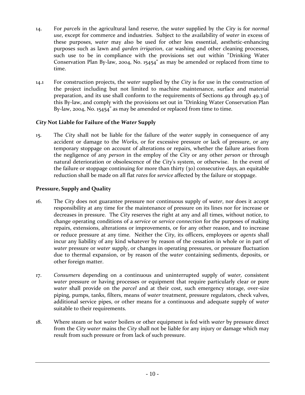- 14. For *parcels* in the agricultural land reserve, the *water* supplied by the *City* is for *normal use*, except for commerce and industries. Subject to the availability of *water* in excess of these purposes, *water* may also be used for other less essential, aesthetic-enhancing purposes such as lawn and *garden irrigation*, car washing and other cleaning processes, such use to be in compliance with the provisions set out within "Drinking Water Conservation Plan By-law, 2004, No. 15454" as may be amended or replaced from time to time.
- 14.1 For construction projects, the *water* supplied by the *City* is for use in the construction of the project including but not limited to machine maintenance, surface and material preparation, and its use shall conform to the requirements of Sections 49 through 49.3 of this By-law, and comply with the provisions set out in "Drinking Water Conservation Plan By-law, 2004, No. 15454" as may be amended or replaced from time to time.

#### <span id="page-13-0"></span>*City* **Not Liable for Failure of the** *Water* **Supply**

15. The *City* shall not be liable for the failure of the *water* supply in consequence of any accident or damage to the *Works*, or for excessive pressure or lack of pressure, or any temporary stoppage on account of alterations or repairs, whether the failure arises from the negligence of any *person* in the employ of the *City* or any other *person* or through natural deterioration or obsolescence of the *City*'s system, or otherwise. In the event of the failure or stoppage continuing for more than thirty (30) consecutive days, an equitable reduction shall be made on all flat *rates* for *service* affected by the failure or stoppage.

#### <span id="page-13-1"></span>**Pressure, Supply and Quality**

- 16. The *City* does not guarantee pressure nor continuous supply of *water*, nor does it accept responsibility at any time for the maintenance of pressure on its lines nor for increase or decreases in pressure. The *City* reserves the right at any and all times, without notice, to change operating conditions of a *service* or *service connection* for the purposes of making repairs, extensions, alterations or improvements, or for any other reason, and to increase or reduce pressure at any time. Neither the *City*, its officers, employees or *agents* shall incur any liability of any kind whatever by reason of the cessation in whole or in part of *water* pressure or *water* supply, or changes in operating pressures, or pressure fluctuation due to thermal expansion, or by reason of the *water* containing sediments, deposits, or other foreign matter.
- 17. *Consumers* depending on a continuous and uninterrupted supply of *water,* consistent *water* pressure or having processes or equipment that require particularly clear or pure *water* shall provide on the *parcel* and at their cost, such emergency storage, over-size piping, pumps, tanks, filters, means of *water* treatment, pressure regulators, check valves, additional service pipes, or other means for a continuous and adequate supply of *water* suitable to their requirements.
- 18. Where steam or hot *water* boilers or other equipment is fed with *water* by pressure direct from the *City water* mains the *City* shall not be liable for any injury or damage which may result from such pressure or from lack of such pressure.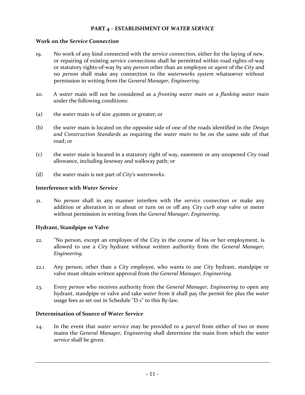#### **PART 4 – ESTABLISHMENT OF** *WATER SERVICE*

#### <span id="page-14-1"></span><span id="page-14-0"></span>**Work on the** *Service Connection*

- 19. No work of any kind connected with the *service connection*, either for the laying of new, or repairing of existing *service connections* shall be permitted within road rights-of-way or statutory rights-of-way by any *person* other than an employee or *agent* of the *City* and no *person* shall make any connection to the *waterworks system* whatsoever without permission in writing from the *General Manager, Engineering*.
- 20. A *water* main will not be considered as a *fronting water main* or a *flanking water main* under the following conditions:
- (a) the *water* main is of size 450mm or greater; or
- (b) the *water* main is located on the opposite side of one of the roads identified in the *Design and Construction Standards* as requiring the *water main* to be on the same side of that road; or
- (c) the *water* main is located in a statutory right of way, easement or any unopened *City* road allowance, including *laneway* and walkway path; or
- (d) the *water* main is not part of *City*'s *waterworks*.

#### <span id="page-14-2"></span>**Interference with** *Water Service*

21. No *person* shall in any manner interfere with the *service connection* or make any addition or alteration in or about or turn on or off any *City curb stop* valve or meter without permission in writing from the *General Manager, Engineering*.

#### <span id="page-14-3"></span>**Hydrant, Standpipe or Valve**

- 22. "No person, except an employee of the *City* in the course of his or her employment, is allowed to use a *City* hydrant without written authority from the *General Manager, Engineering.*
- 22.1 Any person, other than a *City* employee, who wants to use *City* hydrant, standpipe or valve must obtain written approval from the *General Manager, Engineering.*
- 23. Every *person* who receives authority from the *General Manager, Engineering* to open any hydrant, standpipe or valve and take *water* from it shall pay the permit fee plus the *water* usage fees as set out in Schedule "D-1" to this By-law.

#### <span id="page-14-4"></span>**Determination of Source of** *Water Service*

24. In the event that *water service* may be provided to a *parcel* from either of two or more mains the *General Manager, Engineering* shall determine the main from which the *water service* shall be given.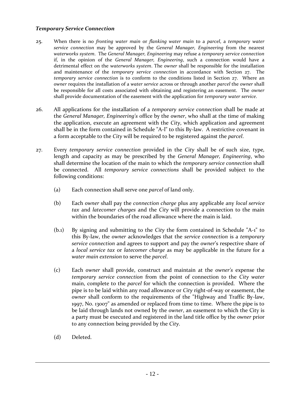#### <span id="page-15-0"></span>*Temporary Service Connection*

- 25. When there is no *fronting water main* or *flanking water main* to a *parcel*, a *temporary water service connection* may be approved by the *General Manager, Engineering* from the nearest *waterworks system*. The *General Manager, Engineering* may refuse a *temporary service connection* if, in the opinion of the *General Manager, Engineering*, such a connection would have a detrimental effect on the *waterworks system*. The *owner* shall be responsible for the installation and maintenance of the *temporary service connection* in accordance with Section 27. The *temporary service connection* is to conform to the conditions listed in Section 27. Where an *owner* requires the installation of a *water service* across or through another *parcel* the *owner* shall be responsible for all costs associated with obtaining and registering an easement. The *owner* shall provide documentation of the easement with the application for *temporary water service*.
- 26. All applications for the installation of a *temporary service connection* shall be made at the *General Manager, Engineering's* office by the *owner*, who shall at the time of making the application, execute an agreement with the *City*, which application and agreement shall be in the form contained in Schedule "A-l" to this By-law. A restrictive covenant in a form acceptable to the *City* will be required to be registered against the *parcel*.
- 27. Every *temporary service connection* provided in the *City* shall be of such size, type, length and capacity as may be prescribed by the *General Manager, Engineering*, who shall determine the location of the main to which the *temporary service connection* shall be connected. All *temporary service connections* shall be provided subject to the following conditions:
	- (a) Each connection shall serve one *parcel* of land only.
	- (b) Each *owner* shall pay the *connection charge* plus any applicable any *local service tax* and *latecomer charges* and the *City* will provide a connection to the main within the boundaries of the road allowance where the main is laid.
	- (b.1) By signing and submitting to the *City* the form contained in Schedule "A-1" to this By-law, the *owner* acknowledges that the *service connection* is a *temporary service connection* and agrees to support and pay the *owner*'s respective share of a *local service tax* or *latecomer charge* as may be applicable in the future for a *water main extension* to serve the *parcel*.
	- (c) Each *owner* shall provide, construct and maintain at the *owner's* expense the *temporary service connection* from the point of connection to the *City water* main, complete to the *parcel* for which the connection is provided. Where the pipe is to be laid within any road allowance or *City* right-of-way or easement, the *owner* shall conform to the requirements of the "Highway and Traffic By-law, 1997, No. 13007" as amended or replaced from time to time. Where the pipe is to be laid through lands not owned by the *owner*, an easement to which the City is a party must be executed and registered in the land title office by the *owner* prior to any connection being provided by the *City*.
	- (d) Deleted.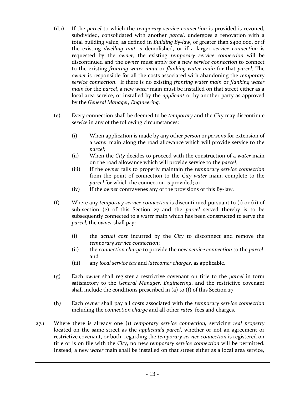- (d.1) If the *parcel* to which the *temporary service connection* is provided is rezoned, subdivided, consolidated with another *parcel*, undergoes a renovation with a total building value, as defined in *Building By-law*, of greater than \$400,000, or if the existing *dwelling unit* is demolished, or if a larger *service connection* is requested by the *owner*, the existing *temporary service connection* will be discontinued and the *owner* must apply for a new *service connection* to connect to the existing *fronting water main* or *flanking water main* for that *parcel*. The *owner* is responsible for all the costs associated with abandoning the *temporary service connection*. If there is no existing *fronting water main* or *flanking water main* for the *parcel*, a new *water* main must be installed on that street either as a local area service, or installed by the *applicant* or by another party as approved by the *General Manager, Engineering.*
- (e) Every connection shall be deemed to be *temporary* and the *City* may discontinue *service* in any of the following circumstances:
	- (i) When application is made by any other *person* or *persons* for extension of a *water* main along the road allowance which will provide service to the *parcel;*
	- (ii) When the *City* decides to proceed with the construction of a *water* main on the road allowance which will provide service to the *parcel*;
	- (iii) If the *owner* fails to properly maintain the *temporary service connection* from the point of connection to the *City water* main, complete to the *parcel* for which the connection is provided; or
	- (iv) If the *owner* contravenes any of the provisions of this By-law.
- (f) Where any *temporary service connection* is discontinued pursuant to (i) or (ii) of sub-section (e) of this Section 27 and the *parcel* served thereby is to be subsequently connected to a *water* main which has been constructed to serve the *parcel*, the *owner* shall pay:
	- (i) the *actual cost* incurred by the *City* to disconnect and remove the *temporary service connection*;
	- (ii) the *connection charge* to provide the new *service connection* to the *parcel*; and
	- (iii) any *local service tax* and *latecomer charges*, as applicable.
- (g) Each *owner* shall register a restrictive covenant on title to the *parcel* in form satisfactory to the *General Manager, Engineering*, and the restrictive covenant shall include the conditions prescribed in (a) to (f) of this Section 27.
- (h) Each *owner* shall pay all costs associated with the *temporary service connection* including the *connection charge* and all other *rates*, fees and charges.
- 27.1 Where there is already one (1) *temporary service connection,* servicing *real property* located on the same street as the *applicant*'s *parcel*, whether or not an agreement or restrictive covenant, or both, regarding the *temporary service connection* is registered on title or is on file with the *City*, no new *temporary service connection* will be permitted. Instead, a new *water* main shall be installed on that street either as a local area service,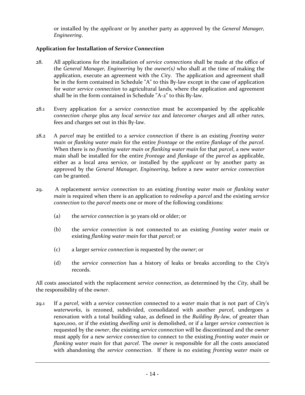or installed by the *applicant* or by another party as approved by the *General Manager, Engineering*.

#### **Application for Installation of** *Service Connection*

- 28. All applications for the installation of *service connections* shall be made at the office of the *General Manager, Engineering* by the *owner(s)* who shall at the time of making the application, execute an agreement with the *City*. The application and agreement shall be in the form contained in Schedule "A" to this By-law except in the case of application for *water service connection* to agricultural lands, where the application and agreement shall be in the form contained in Schedule "A-2" to this By-law.
- 28.1 Every application for a *service connection* must be accompanied by the applicable *connection charge* plus any *local service tax* and *latecomer charges* and all other *rates*, fees and charges set out in this By-law.
- 28.2 A *parcel* may be entitled to a *service connection* if there is an existing *fronting water main* or *flanking water main* for the entire *frontage* or the entire *flankage* of the *parcel*. When there is no *fronting water main* or *flanking water main* for that *parcel*, a new *water*  main shall be installed for the entire *frontage* and *flankage* of the *parcel* as applicable, either as a local area service, or installed by the *applicant* or by another party as approved by the *General Manager, Engineering*, before a new *water service connection* can be granted.
- 29. A replacement *service connection* to an existing *fronting water main* or *flanking water main* is required when there is an application to *redevelop* a *parcel* and the existing *service connection* to the *parcel* meets one or more of the following conditions:
	- (a) the *service connection* is 30 years old or older; or
	- (b) the *service connection* is not connected to an existing *fronting water main* or existing *flanking water main* for that *parcel*; or
	- (c) a larger *service connection* is requested by the *owner*; or
	- (d) the *service connection* has a history of leaks or breaks according to the *City*'s records.

All costs associated with the replacement *service connection*, as determined by the *City*, shall be the responsibility of the *owner*.

29.1 If a *parcel*, with a *service connection* connected to a *water* main that is not part of *Cit*y's *waterworks*, is rezoned, subdivided, consolidated with another *parcel*, undergoes a renovation with a total building value, as defined in the *Building By-law*, of greater than \$400,000, or if the existing *dwelling unit* is demolished, or if a larger *service connection* is requested by the *owner*, the existing *service connection* will be discontinued and the *owner* must apply for a new *service connection* to connect to the existing *fronting water main* or *flanking water main* for that *parcel*. The *owner* is responsible for all the costs associated with abandoning the *service connection*. If there is no existing *fronting water main* or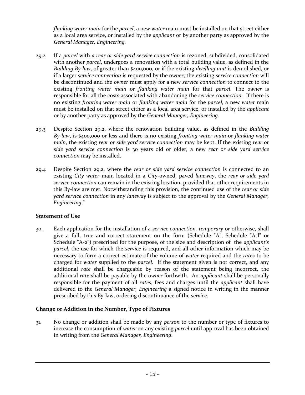*flanking water main* for the *parcel*, a new *water* main must be installed on that street either as a local area service, or installed by the *applicant* or by another party as approved by the *General Manager, Engineering.*

- 29.2 If a *parcel* with *a rear or side yard service connection* is rezoned, subdivided, consolidated with another *parcel*, undergoes a renovation with a total building value, as defined in the *Building By-law*, of greater than \$400,000, or if the existing *dwelling unit* is demolished, or if a larger *service connection* is requested by the *owner*, the existing *service connection* will be discontinued and the *owner* must apply for a new *service connection* to connect to the existing *fronting water main* or *flanking water main* for that *parcel*. The *owner* is responsible for all the costs associated with abandoning the *service connection*. If there is no existing *fronting water main* or *flanking water main* for the *parcel*, a new *water* main must be installed on that street either as a local area service, or installed by the *applicant* or by another party as approved by the *General Manager, Engineering.*
- 29.3 Despite Section 29.2, where the renovation building value, as defined in the *Building By-law*, is \$400,000 or less and there is no existing *fronting water main* or *flanking water main*, the existing *rear or side yard service connection* may be kept. If the existing *rear or side yard service connection* is 30 years old or older, a new *rear or side yard service connection* may be installed.
- 29.4 Despite Section 29.2, where the *rear or side yard service connection* is connected to an existing *City water* main located in a *City*-owned, paved *laneway*, the *rear or side yard service connection* can remain in the existing location, provided that other requirements in this By-law are met. Notwithstanding this provision, the continued use of the *rear or side yard service connection* in any *laneway* is subject to the approval by the *General Manager, Engineering*."

#### <span id="page-18-0"></span>**Statement of Use**

30. Each application for the installation of a *service connection, temporary* or otherwise, shall give a full, true and correct statement on the form (Schedule "A", Schedule "A-l" or Schedule "A-2") prescribed for the purpose, of the size and description of the *applicant's parcel*, the use for which the *service* is required, and all other information which may be necessary to form a correct estimate of the volume of *water* required and the *rates* to be charged for *water* supplied to the *parcel*. If the statement given is not correct, and any additional *rate* shall be chargeable by reason of the statement being incorrect, the additional *rate* shall be payable by the *owner* forthwith. An *applicant* shall be personally responsible for the payment of all *rates*, fees and charges until the *applicant* shall have delivered to the *General Manager, Engineering* a signed notice in writing in the manner prescribed by this By-law, ordering discontinuance of the *service*.

# <span id="page-18-1"></span>**Change or Addition in the Number, Type of Fixtures**

31. No change or addition shall be made by any *person* to the number or type of fixtures to increase the consumption of *water* on any existing *parcel* until approval has been obtained in writing from the *General Manager, Engineering*.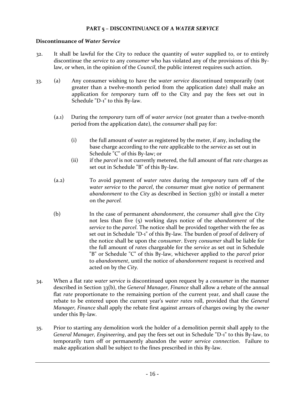#### **PART 5 – DISCONTINUANCE OF A** *WATER SERVICE*

#### <span id="page-19-1"></span><span id="page-19-0"></span>**Discontinuance of** *Water Service*

- 32. It shall be lawful for the *City* to reduce the quantity of *water* supplied to, or to entirely discontinue the *service* to any *consumer* who has violated any of the provisions of this Bylaw, or when, in the opinion of the *Council*, the public interest requires such action.
- 33. (a) Any consumer wishing to have the *water service* discontinued temporarily (not greater than a twelve-month period from the application date) shall make an application for *temporary* turn off to the City and pay the fees set out in Schedule "D-1" to this By-law.
	- (a.1) During the *temporary* turn off of *water service* (not greater than a twelve-month period from the application date), the *consumer* shall pay for:
		- (i) the full amount of *water* as registered by the meter, if any, including the base charge according to the *rate* applicable to the *service* as set out in Schedule "C" of this By-law; or
		- (ii) if the *parcel* is not currently metered, the full amount of flat *rate* charges as set out in Schedule "B" of this By-law.
	- (a.2) To avoid payment of *water rates* during the *temporary* turn off of the *water service* to the *parcel*, the *consumer* must give notice of permanent *abandonment* to the *City* as described in Section 33(b) or install a meter on the *parcel.*
	- (b) In the case of permanent *abandonment*, the *consumer* shall give the *City* not less than five (5) working days notice of the *abandonment* of the *service* to the *parcel*. The notice shall be provided together with the fee as set out in Schedule "D-1" of this By-law*.* The burden of proof of delivery of the notice shall be upon the *consumer*. Every *consumer* shall be liable for the full amount of *rates* chargeable for the *service* as set out in Schedule "B" or Schedule "C" of this By-law, whichever applied to the *parcel* prior to *abandonment*, until the notice of *abandonment* request is received and acted on by the *City.*
- 34. When a flat rate *water* s*ervice* is discontinued upon request by a *consumer* in the manner described in Section 33(b), the *General Manager, Finance* shall allow a rebate of the annual flat *rate* proportionate to the remaining portion of the current year, and shall cause the rebate to be entered upon the current year's *water rates* roll, provided that the *General Manager, Finance* shall apply the rebate first against arrears of charges owing by the *owner* under this By-law.
- 35. Prior to starting any demolition work the holder of a demolition permit shall apply to the *General Manager, Engineering*, and pay the fees set out in Schedule "D-1" to this By-law, to temporarily turn off or permanently abandon the *water service connection*. Failure to make application shall be subject to the fines prescribed in this By-law.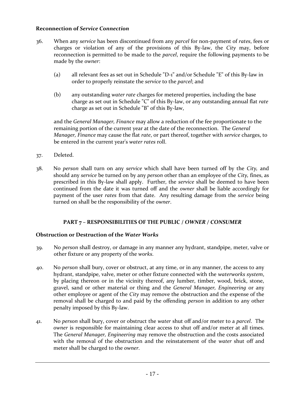#### <span id="page-20-0"></span>**Reconnection of** *Service Connection*

- 36. When any *service* has been discontinued from any *parcel* for non-payment of *rates*, fees or charges or violation of any of the provisions of this By-law, the *City* may, before reconnection is permitted to be made to the *parcel*, require the following payments to be made by the *owner*:
	- (a) all relevant fees as set out in Schedule "D-1" and/or Schedule "E" of this By-law in order to properly reinstate the *service* to the *parcel*; and
	- (b) any outstanding *water rate* charges for metered properties, including the base charge as set out in Schedule "C" of this By-law, or any outstanding annual flat *rate* charge as set out in Schedule "B" of this By-law,

and the *General Manager, Finance* may allow a reduction of the fee proportionate to the remaining portion of the current year at the date of the reconnection. The *General Manager, Finance* may cause the flat *rate*, or part thereof, together with *service* charges, to be entered in the current year's *water rates* roll.

- 37. Deleted.
- 38. No *person* shall turn on any *service* which shall have been turned off by the *City,* and should any *service* be turned on by any *person* other than an employee of the *City,* fines, as prescribed in this By-law shall apply. Further, the *service* shall be deemed to have been continued from the date it was turned off and the *owner* shall be liable accordingly for payment of the user *rates* from that date. Any resulting damage from the *service* being turned on shall be the responsibility of the *owner*.

#### **PART 7 – RESPONSIBILITIES OF THE PUBLIC /** *OWNER / CONSUMER*

#### <span id="page-20-2"></span><span id="page-20-1"></span>**Obstruction or Destruction of the** *Water Works*

- 39. No *person* shall destroy, or damage in any manner any hydrant, standpipe, meter, valve or other fixture or any property of the *works*.
- 40. No *person* shall bury, cover or obstruct, at any time, or in any manner, the access to any hydrant, standpipe, valve, meter or other fixture connected with the *waterworks system*, by placing thereon or in the vicinity thereof, any lumber, timber, wood, brick, stone, gravel, sand or other material or thing and the *General Manager, Engineering* or any other employee or agent of the *City* may remove the obstruction and the expense of the removal shall be charged to and paid by the offending *person* in addition to any other penalty imposed by this By-law.
- 41. No *person* shall bury, cover or obstruct the *water* shut off and/or meter to a *parcel*. The *owner* is responsible for maintaining clear access to shut off and/or meter at all times. The *General Manager, Engineering* may remove the obstruction and the costs associated with the removal of the obstruction and the reinstatement of the *water* shut off and meter shall be charged to the *owner*.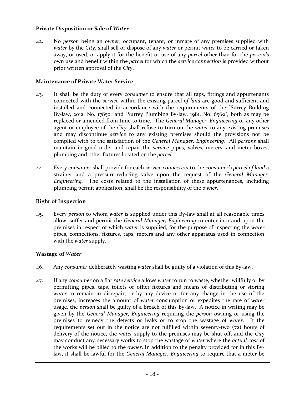#### <span id="page-21-0"></span>**Private Disposition or Sale of** *Water*

42. No *person* being an *owner*, occupant, tenant, or inmate of any premises supplied with *water* by the *City*, shall sell or dispose of any *water* or permit *water* to be carried or taken away, or used, or apply it for the benefit or use of any *parcel* other than for the *person's* own use and benefit within the *parcel* for which the *service connection* is provided without prior written approval of the *City*.

#### <span id="page-21-1"></span>**Maintenance of Private Water Service**

- 43. It shall be the duty of every *consumer* to ensure that all taps, fittings and appurtenants connected with the *service* within the existing parcel *of land* are good and sufficient and installed and connected in accordance with the requirements of the "Surrey Building By-law, 2012, No. 17850" and "Surrey Plumbing By-law, 1981, No. 6569", both as may be replaced or amended from time to time. The *General Manager, Engineering* or any other agent or employee of the *City* shall refuse to turn on the *water* to any existing premises and may discontinue *service* to any existing premises should the provisions not be complied with to the satisfaction of the *General Manager, Engineering*. All *persons* shall maintain in good order and repair the *service* pipes, valves, meters, and meter boxes, plumbing and other fixtures located on the *parcel*.
- 44. Every *consumer* shall provide for each *service connection* to the *consumer's parcel of land* a strainer and a pressure-reducing valve upon the request of the *General Manager, Engineering.* The costs related to the installation of these appurtenances, including plumbing permit application, shall be the responsibility of the *owner*.

#### <span id="page-21-2"></span>**Right of Inspection**

45. Every *person* to whom *water* is supplied under this By-law shall at all reasonable times allow, suffer and permit the *General Manager, Engineering* to enter into and upon the premises in respect of which *water* is supplied, for the purpose of inspecting the *water* pipes, connections, fixtures, taps, meters and any other apparatus used in connection with the *water* supply.

#### <span id="page-21-3"></span>**Wastage of** *Water*

- 46**.** Any *consumer* deliberately wasting *water* shall be guilty of a violation of this By-law.
- 47. If any *consumer* on a flat *rate service* allows *water* to run to waste, whether willfully or by permitting pipes, taps, toilets or other fixtures and means of distributing or storing *water* to remain in disrepair, or by any device or for any change in the use of the premises, increases the amount of *water* consumption or expedites the rate of *water* usage, the *person* shall be guilty of a breach of this By-law. A notice in writing may be given by the *General Manager, Engineering* requiring the *person* owning or using the premises to remedy the defects or leaks or to stop the wastage of *water*. If the requirements set out in the notice are not fulfilled within seventy-two (72) hours of delivery of the notice, the *water* supply to the premises may be shut off, and the *City* may conduct any necessary works to stop the wastage of *water* where the *actual cost* of the works will be billed to the *owner*. In addition to the penalty provided for in this Bylaw, it shall be lawful for the *General Manager, Engineering* to require that a meter be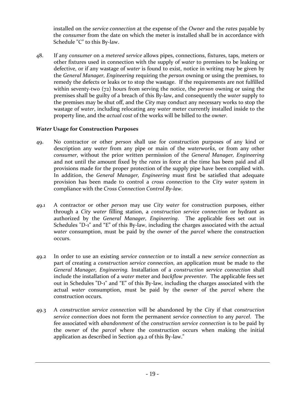installed on the *service connection* at the expense of the *Owner* and the *rates* payable by the *consumer* from the date on which the meter is installed shall be in accordance with Schedule "C" to this By-law.

48. If any *consumer* on a *metered service* allows pipes, connections, fixtures, taps, meters or other fixtures used in connection with the supply of *water* to premises to be leaking or defective, or if any wastage of *water* is found to exist, notice in writing may be given by the *General Manager, Engineering* requiring the *person* owning or using the premises, to remedy the defects or leaks or to stop the wastage. If the requirements are not fulfilled within seventy-two (72) hours from serving the notice, the *person* owning or using the premises shall be guilty of a breach of this By-law, and consequently the *water* supply to the premises may be shut off, and the *City* may conduct any necessary works to stop the wastage of *water*, including relocating any *water* meter currently installed inside to the property line, and the *actual cost* of the works will be billed to the *owner*.

#### <span id="page-22-0"></span>*Water* **Usage for Construction Purposes**

- 49. No contractor or other *person* shall use for construction purposes of any kind or description any *water* from any pipe or main of the *waterworks*, or from any other *consumer*, without the prior written permission of the *General Manager, Engineering* and not until the amount fixed by the *rates* in force at the time has been paid and all provisions made for the proper protection of the supply pipe have been complied with. In addition, the *General Manager, Engineering* must first be satisfied that adequate provision has been made to control a *cross connection* to the *City water* system in compliance with the *Cross Connection Control By-law*.
- 49.1 A contractor or other *person* may use *City water* for construction purposes, either through a *City water* filling station, a *construction service connection* or hydrant as authorized by the *General Manager, Engineering*. The applicable fees set out in Schedules "D-1" and "E" of this By-law, including the charges associated with the actual *water* consumption, must be paid by the *owner* of the *parcel* where the construction occurs.
- 49.2 In order to use an existing *service connection* or to install a new *service connection* as part of creating a *construction service connection*, an application must be made to the *General Manager, Engineering.* Installation of a *construction service connection* shall include the installation of a *water* meter and *backflow preventer.* The applicable fees set out in Schedules "D-1" and "E" of this By-law, including the charges associated with the actual *water* consumption, must be paid by the *owner* of the *parcel* where the construction occurs.
- 49.3 A *construction service connection* will be abandoned by the *City* if that *construction service connection* does not form the permanent *service connection* to any *parcel*. The fee associated with *abandonment* of the *construction service connection* is to be paid by the *owner* of the *parcel* where the construction occurs when making the initial application as described in Section 49.2 of this By-law."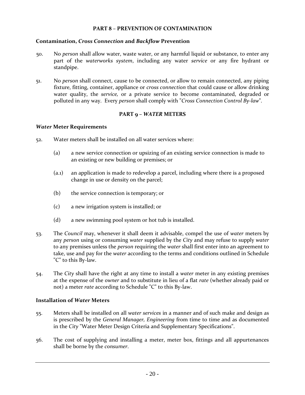#### **PART 8 – PREVENTION OF CONTAMINATION**

#### <span id="page-23-1"></span><span id="page-23-0"></span>**Contamination,** *Cross Connection* **and** *Backflow* **Prevention**

- 50. No *person* shall allow water, waste water, or any harmful liquid or substance, to enter any part of the *waterworks system*, including any water *service* or any fire hydrant or standpipe.
- 51. No *person* shall connect, cause to be connected, or allow to remain connected, any piping fixture, fitting, container, appliance or *cross connection* that could cause or allow drinking water quality, the *service,* or a private service to become contaminated, degraded or polluted in any way. Every *person* shall comply with "*Cross Connection Control By-law*"*.*

#### **PART 9 –** *WATER* **METERS**

#### <span id="page-23-3"></span><span id="page-23-2"></span>*Water* **Meter Requirements**

- 52. Water meters shall be installed on all water services where:
	- (a) a new service connection or upsizing of an existing service connection is made to an existing or new building or premises; or
	- (a.1) an application is made to redevelop a parcel, including where there is a proposed change in use or density on the parcel;
	- (b) the service connection is temporary; or
	- (c) a new irrigation system is installed; or
	- (d) a new swimming pool system or hot tub is installed.
- 53. The *Council* may, whenever it shall deem it advisable, compel the use of *water* meters by any *person* using or consuming *water* supplied by the *City* and may refuse to supply *water* to any premises unless the *person* requiring the *water* shall first enter into an agreement to take, use and pay for the *water* according to the terms and conditions outlined in Schedule "C" to this By-law.
- 54. The *City* shall have the right at any time to install a *water* meter in any existing premises at the expense of the *owner* and to substitute in lieu of a flat *rate* (whether already paid or not) a meter *rate* according to Schedule "C" to this By-law.

#### <span id="page-23-4"></span>**Installation of** *Water* **Meters**

- 55. Meters shall be installed on all *water services* in a manner and of such make and design as is prescribed by the *General Manager, Engineering* from time to time and as documented in the *City* "Water Meter Design Criteria and Supplementary Specifications".
- 56. The cost of supplying and installing a meter, meter box, fittings and all appurtenances shall be borne by the *consumer*.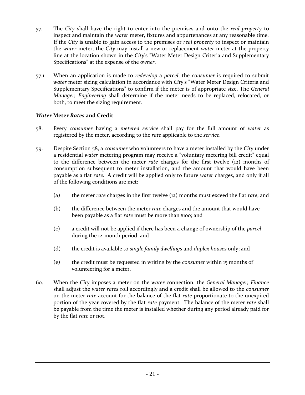- 57. The *City* shall have the right to enter into the premises and onto the *real property* to inspect and maintain the *water* meter, fixtures and appurtenances at any reasonable time. If the *City* is unable to gain access to the premises or *real property* to inspect or maintain the *water* meter, the *City* may install a new or replacement *water* meter at the property line at the location shown in the *City*'s "Water Meter Design Criteria and Supplementary Specifications" at the expense of the *owner*.
- 57.1 When an application is made to *redevelop* a *parcel*, the *consumer* is required to submit *water* meter sizing calculation in accordance with *City*'s "Water Meter Design Criteria and Supplementary Specifications" to confirm if the meter is of appropriate size. The *General Manager, Engineering* shall determine if the meter needs to be replaced, relocated, or both, to meet the sizing requirement.

#### <span id="page-24-0"></span>*Water* **Meter** *Rates* **and Credit**

- 58. Every *consumer* having a *metered service* shall pay for the full amount of *water* as registered by the meter, according to the *rate* applicable to the *service*.
- 59. Despite Section 58, a *consumer* who volunteers to have a meter installed by the *City* under a residential *water* metering program may receive a "voluntary metering bill credit" equal to the difference between the meter *rate* charges for the first twelve (12) months of consumption subsequent to meter installation, and the amount that would have been payable as a flat *rate*. A credit will be applied only to future *water* charges, and only if all of the following conditions are met:
	- (a) the meter *rate* charges in the first twelve (12) months must exceed the flat *rate*; and
	- (b) the difference between the meter *rate* charges and the amount that would have been payable as a flat *rate* must be more than \$100; and
	- (c) a credit will not be applied if there has been a change of ownership of the *parcel*  during the 12-month period; and
	- (d) the credit is available to *single family dwellings* and *duplex houses* only; and
	- (e) the credit must be requested in writing by the *consumer* within 15 months of volunteering for a meter.
- 60. When the *City* imposes a meter on the *water* connection, the *General Manager, Finance* shall adjust the *water rates* roll accordingly and a credit shall be allowed to the *consumer* on the meter *rate* account for the balance of the flat *rate* proportionate to the unexpired portion of the year covered by the flat *rate* payment. The balance of the meter *rate* shall be payable from the time the meter is installed whether during any period already paid for by the flat *rate* or not.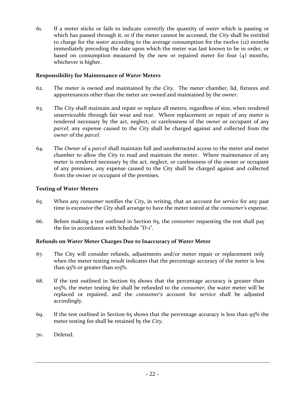61. If a meter sticks or fails to indicate correctly the quantity of *water* which is passing or which has passed through it, or if the meter cannot be accessed, the *City* shall be entitled to charge for the *water* according to the average consumption for the twelve (12) months immediately preceding the date upon which the meter was last known to be in order, or based on consumption measured by the new or repaired meter for four (4) months, whichever is higher.

#### <span id="page-25-0"></span>**Responsibility for Maintenance of** *Water* **Meters**

- 62. The meter is owned and maintained by the *City*. The meter chamber, lid, fixtures and appurtenances other than the meter are owned and maintained by the *owner*.
- 63. The *City* shall maintain and repair or replace all meters, regardless of size, when rendered unserviceable through fair wear and tear. Where replacement or repair of any meter is rendered necessary by the act, neglect, or carelessness of the *owner* or occupant of any *parcel*, any expense caused to the *City* shall be charged against and collected from the *owner* of the *parcel*.
- 64. The *Owner* of a *parcel* shall maintain full and unobstructed access to the meter and meter chamber to allow the *City* to read and maintain the meter. Where maintenance of any meter is rendered necessary by the act, neglect, or carelessness of the owner or occupant of any premises, any expense caused to the City shall be charged against and collected from the owner or occupant of the premises.

#### <span id="page-25-1"></span>**Testing of** *Water* **Meters**

- 65. When any *consumer* notifies the *City*, in writing, that an account for *service* for any past time is excessive the *City* shall arrange to have the meter tested at the *consumer's* expense.
- 66. Before making a test outlined in Section 65, the *consumer* requesting the test shall pay the fee in accordance with Schedule "D-1".

#### <span id="page-25-2"></span>**Refunds on** *Water* **Meter Charges Due to Inaccuracy of** *Water* **Meter**

- 67. The City will consider refunds, adjustments and/or meter repair or replacement only when the meter testing result indicates that the percentage accuracy of the meter is less than  $95\%$  or greater than  $105\%$ .
- 68. If the test outlined in Section 65 shows that the percentage accuracy is greater than 105%, the meter testing fee shall be refunded to the *consumer*, the water meter will be replaced or repaired, and the *consumer*'s account for *service* shall be adjusted accordingly.
- 69. If the test outlined in Section 65 shows that the percentage accuracy is less than 95% the meter testing fee shall be retained by the *City*.
- 70. Deleted.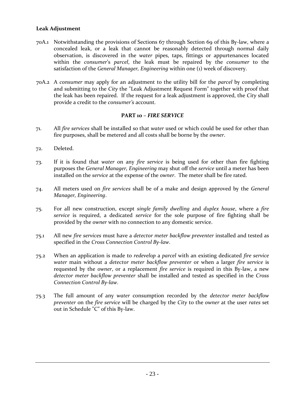#### **Leak Adjustment**

- 70A.1 Notwithstanding the provisions of Sections 67 through Section 69 of this By-law, where a concealed leak, or a leak that cannot be reasonably detected through normal daily observation, is discovered in the *water* pipes, taps, fittings or appurtenances located within the *consumer*'s *parcel*, the leak must be repaired by the *consumer* to the satisfaction of the *General Manager, Engineering* within one (1) week of discovery.
- 70A.2 A *consumer* may apply for an adjustment to the utility bill for the *parcel* by completing and submitting to the *City* the "Leak Adjustment Request Form" together with proof that the leak has been repaired. If the request for a leak adjustment is approved, the *City* shall provide a credit to the *consumer's* account.

#### **PART 10 –** *FIRE SERVICE*

- <span id="page-26-0"></span>71. All *fire services* shall be installed so that *water* used or which could be used for other than fire purposes, shall be metered and all costs shall be borne by the *owner*.
- 72. Deleted.
- 73. If it is found that *water* on any *fire service* is being used for other than fire fighting purposes the *General Manager, Engineering* may shut off the *service* until a meter has been installed on the *service* at the expense of the *owner*. The meter shall be fire rated.
- 74. All meters used on *fire services* shall be of a make and design approved by the *General Manager, Engineering*.
- 75. For all new construction, except *single family dwelling* and *duplex house*, where a *fire service* is required, a dedicated *service* for the sole purpose of fire fighting shall be provided by the *owner* with no connection to any domestic service.
- 75.1 All new *fire services* must have a *detector meter backflow preventer* installed and tested as specified in the *Cross Connection Control By-law*.
- 75.2 When an application is made to *redevelop* a *parcel* with an existing dedicated *fire service water* main without a *detector meter backflow preventer* or when a larger *fire service* is requested by the *owner*, or a replacement *fire service* is required in this By-law, a new *detector meter backflow preventer* shall be installed and tested as specified in the *Cross Connection Control By-law*.
- 75.3 The full amount of any *water* consumption recorded by the *detector meter backflow preventer* on the *fire service* will be charged by the *City* to the *owner* at the user *rates* set out in Schedule "C" of this By-law.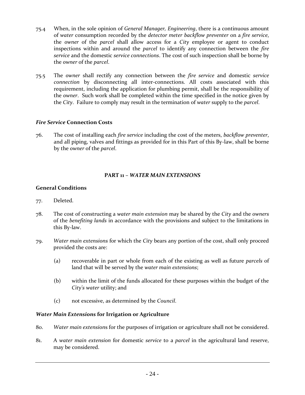- 75.4 When, in the sole opinion of *General Manager, Engineering*, there is a continuous amount of *water* consumption recorded by the *detector meter backflow preventer* on a *fire service*, the *owner* of the *parcel* shall allow access for a *City* employee or agent to conduct inspections within and around the *parcel* to identify any connection between the *fire service* and the domestic *service connections*. The cost of such inspection shall be borne by the *owner* of the *parcel*.
- 75.5 The *owner* shall rectify any connection between the *fire service* and domestic *service connection* by disconnecting all inter-connections. All costs associated with this requirement, including the application for plumbing permit, shall be the responsibility of the *owner*. Such work shall be completed within the time specified in the notice given by the *City*. Failure to comply may result in the termination of *water* supply to the *parcel*.

#### <span id="page-27-0"></span>*Fire Service* **Connection Costs**

76. The cost of installing each *fire service* including the cost of the meters, *backflow preventer*, and all piping, valves and fittings as provided for in this Part of this By-law, shall be borne by the *owner* of the *parcel*.

#### **PART 11 –** *WATER MAIN EXTENSIONS*

#### <span id="page-27-2"></span><span id="page-27-1"></span>**General Conditions**

- 77. Deleted.
- 78. The cost of constructing a *water main extension* may be shared by the *City* and the *owners* of the *benefiting lands* in accordance with the provisions and subject to the limitations in this By-law.
- 79. *Water main extensions* for which the *City* bears any portion of the cost, shall only proceed provided the costs are:
	- (a) recoverable in part or whole from each of the existing as well as future *parcels* of land that will be served by the *water main extensions*;
	- (b) within the limit of the funds allocated for these purposes within the budget of the *City's water* utility; and
	- (c) not excessive, as determined by the *Council*.

# <span id="page-27-3"></span>*Water Main Extensions* **for Irrigation or Agriculture**

- 80. *Water main extension*s for the purposes of irrigation or agriculture shall not be considered.
- 81. A *water main extension* for domestic *service* to a *parcel* in the agricultural land reserve, may be considered.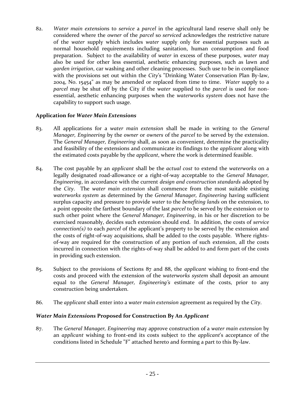82. *Water main extension*s to *service* a *parcel* in the agricultural land reserve shall only be considered where the *owner* of the *parcel* so *serviced* acknowledges the restrictive nature of the *water* supply which includes *water* supply only for essential purposes such as normal household requirements including sanitation, human consumption and food preparation. Subject to the availability of *water* in excess of these purposes, *water* may also be used for other less essential, aesthetic enhancing purposes, such as lawn and *garden irrigation*, car washing and other cleaning processes. Such use to be in compliance with the provisions set out within the *City*'s "Drinking Water Conservation Plan By-law, 2004, No. 15454" as may be amended or replaced from time to time. *Water* supply to a *parcel* may be shut off by the City if the *water* supplied to the *parcel* is used for nonessential, aesthetic enhancing purposes when the *waterworks system* does not have the capability to support such usage.

#### <span id="page-28-0"></span>**Application for** *Water Main Extensions*

- 83. All applications for a *water main extension* shall be made in writing to the *General Manager, Engineering* by the *owner* or *owners* of the *parcel* to be served by the extension. The *General Manager, Engineering* shall, as soon as convenient, determine the practicality and feasibility of the extensions and communicate its findings to the *applicant* along with the estimated costs payable by the *applicant*, where the work is determined feasible.
- 84. The cost payable by an *applicant* shall be the *actual cost* to extend the *waterworks* on a legally designated road-allowance or a right-of-way acceptable to the *General Manager, Engineering*, in accordance with the current *design and construction standards* adopted by the *City*. The *water main extension* shall commence from the most suitable existing *waterworks system* as determined by the *General Manager, Engineering* having sufficient surplus capacity and pressure to provide *water* to the *benefiting lands* on the extension, to a point opposite the farthest boundary of the last *parcel* to be served by the extension or to such other point where the *General Manager, Engineering*, in his or her discretion to be exercised reasonably, decides such extension should end. In addition, the costs of *service connection(s)* to each *parcel* of the applicant's property to be served by the extension and the costs of right-of-way acquisitions, shall be added to the costs payable. Where rightsof-way are required for the construction of any portion of such extension, all the costs incurred in connection with the rights-of-way shall be added to and form part of the costs in providing such extension.
- 85. Subject to the provisions of Sections 87 and 88, the *applicant* wishing to front-end the costs and proceed with the extension of the *waterworks system* shall deposit an amount equal to the *General Manager, Engineering's* estimate of the costs, prior to any construction being undertaken.
- 86. The *applicant* shall enter into a *water main extension* agreement as required by the *City*.

#### <span id="page-28-1"></span>*Water Main Extensions* **Proposed for Construction By An** *Applicant*

87. The *General Manager, Engineering* may approve construction of a *water main extension* by an *applicant* wishing to front-end its costs subject to the *applicant*'s acceptance of the conditions listed in Schedule "F" attached hereto and forming a part to this By-law.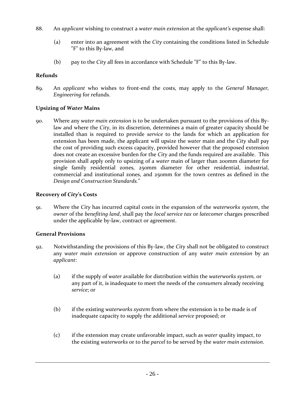- 88. An *applicant* wishing to construct a *water main extension* at the *applicant's* expense shall:
	- (a) enter into an agreement with the *City* containing the conditions listed in Schedule "F" to this By-law, and
	- (b) pay to the *City* all fees in accordance with Schedule "F" to this By-law.

#### <span id="page-29-0"></span>**Refunds**

89. An *applicant* who wishes to front-end the costs, may apply to the *General Manager, Engineering* for refunds.

#### <span id="page-29-1"></span>**Upsizing of** *Water* **Mains**

90. Where any *water main extension* is to be undertaken pursuant to the provisions of this Bylaw and where the *City*, in its discretion, determines a main of greater capacity should be installed than is required to provide *service* to the lands for which an application for extension has been made, the applicant will upsize the *water* main and the *City* shall pay the cost of providing such excess capacity, provided however that the proposed extension does not create an excessive burden for the *City* and the funds required are available. This provision shall apply only to upsizing of a *water* main of larger than 200mm diameter for single family residential zones, 250mm diameter for other residential, industrial, commercial and institutional zones, and 250mm for the town centres as defined in the *Design and Construction Standards.*"

#### <span id="page-29-2"></span>**Recovery of** *City***'s Costs**

91. Where the *City* has incurred capital costs in the expansion of the *waterworks system*, the *owner* of the *benefiting land*, shall pay the *local service tax* or *latecomer* charges prescribed under the applicable by-law, contract or agreement.

#### <span id="page-29-3"></span>**General Provisions**

- 92. Notwithstanding the provisions of this By-law, the *City* shall not be obligated to construct any *water main extension* or approve construction of any *water main extension* by an *applicant*:
	- (a) if the supply of *water* available for distribution within the *waterworks system,* or any part of it, is inadequate to meet the needs of the *consumers* already receiving *service*; or
	- (b) if the existing *waterworks system* from where the extension is to be made is of inadequate capacity to supply the additional *service* proposed; or
	- (c) if the extension may create unfavorable impact, such as *water* quality impact, to the existing *waterworks* or to the *parcel* to be served by the *water main extension*.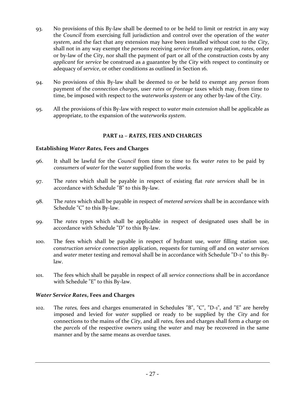- 93. No provisions of this By-law shall be deemed to or be held to limit or restrict in any way the *Council* from exercising full jurisdiction and control over the operation of the *water system*, and the fact that any extension may have been installed without cost to the *City*, shall not in any way exempt the *persons* receiving *service* from any regulation, *rates*, order or by-law of the *City*, nor shall the payment of part or all of the construction costs by any *applicant* for *service* be construed as a guarantee by the *City* with respect to continuity or adequacy of *service*, or other conditions as outlined in Section 16.
- 94. No provisions of this By-law shall be deemed to or be held to exempt any *person* from payment of the *connection charges*, user *rates* or *frontage* taxes which may, from time to time, be imposed with respect to the *waterworks system* or any other by-law of the *City*.
- 95. All the provisions of this By-law with respect to *water main extension* shall be applicable as appropriate, to the expansion of the *waterworks system*.

#### **PART 12 –** *RATES***, FEES AND CHARGES**

#### <span id="page-30-1"></span><span id="page-30-0"></span>**Establishing** *Water Rates,* **Fees and Charges**

- 96. It shall be lawful for the *Council* from time to time to fix *water rates* to be paid by *consumers* of *water* for the *water* supplied from the *works.*
- 97. The *rates* which shall be payable in respect of existing flat *rate services* shall be in accordance with Schedule "B" to this By-law.
- 98. The *rates* which shall be payable in respect of *metered services* shall be in accordance with Schedule "C" to this By-law.
- 99. The *rates* types which shall be applicable in respect of designated uses shall be in accordance with Schedule "D" to this By-law.
- 100. The fees which shall be payable in respect of hydrant use, *water* filling station use, *construction service connection* application, requests for turning off and on *water services* and *water* meter testing and removal shall be in accordance with Schedule "D-1" to this Bylaw.
- 101. The fees which shall be payable in respect of all *service connections* shall be in accordance with Schedule "E" to this By-law.

#### <span id="page-30-2"></span>*Water Service Rates***, Fees and Charges**

102. The *rates,* fees and charges enumerated in Schedules "B", "C", "D-1", and "E" are hereby imposed and levied for *water* supplied or ready to be supplied by the *City* and for connections to the mains of the *City*, and all *rates,* fees and charges shall form a charge on the *parcels* of the respective *owners* using the *water* and may be recovered in the same manner and by the same means as overdue taxes.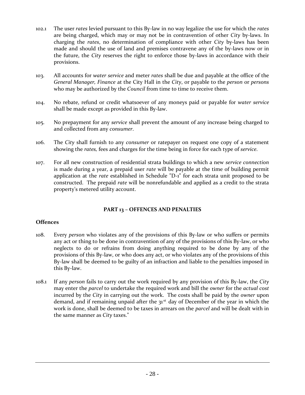- 102.1 The user *rates* levied pursuant to this By-law in no way legalize the use for which the *rates* are being charged, which may or may not be in contravention of other *City* by-laws. In charging the *rates*, no determination of compliance with other *City* by-laws has been made and should the use of land and premises contravene any of the by-laws now or in the future, the *City* reserves the right to enforce those by-laws in accordance with their provisions.
- 103. All accounts for *water service* and meter *rates* shall be due and payable at the office of the *General Manager, Finance* at the City Hall in the *City*, or payable to the *person* or *persons* who may be authorized by the *Council* from time to time to receive them.
- 104. No rebate, refund or credit whatsoever of any moneys paid or payable for *water service* shall be made except as provided in this By-law.
- 105. No prepayment for any *service* shall prevent the amount of any increase being charged to and collected from any *consumer*.
- 106. The *City* shall furnish to any *consumer* or ratepayer on request one copy of a statement showing the *rates,* fees and charges for the time being in force for each type of *service*.
- 107. For all new construction of residential strata buildings to which a new *service connection* is made during a year, a prepaid user *rate* will be payable at the time of building permit application at the *rate* established in Schedule "D-1" for each strata unit proposed to be constructed. The prepaid *rate* will be nonrefundable and applied as a credit to the strata property's metered utility account.

#### **PART 13 – OFFENCES AND PENALTIES**

#### <span id="page-31-1"></span><span id="page-31-0"></span>**Offences**

- 108. Every *person* who violates any of the provisions of this By-law or who suffers or permits any act or thing to be done in contravention of any of the provisions of this By-law, or who neglects to do or refrains from doing anything required to be done by any of the provisions of this By-law, or who does any act, or who violates any of the provisions of this By-law shall be deemed to be guilty of an infraction and liable to the penalties imposed in this By-law.
- 108.1 If any *person* fails to carry out the work required by any provision of this By-law, the *City*  may enter the *parcel* to undertake the required work and bill the *owner* for the *actual cost* incurred by the *City* in carrying out the work. The costs shall be paid by the *owner* upon demand, and if remaining unpaid after the  $31<sup>st</sup>$  day of December of the year in which the work is done, shall be deemed to be taxes in arrears on the *parcel* and will be dealt with in the same manner as *City* taxes."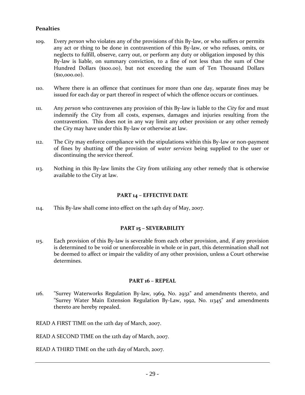#### <span id="page-32-0"></span>**Penalties**

- 109. Every *person* who violates any of the provisions of this By-law, or who suffers or permits any act or thing to be done in contravention of this By-law, or who refuses, omits, or neglects to fulfill, observe, carry out, or perform any duty or obligation imposed by this By-law is liable, on summary conviction, to a fine of not less than the sum of One Hundred Dollars (\$100.00), but not exceeding the sum of Ten Thousand Dollars (\$10,000.00).
- 110. Where there is an offence that continues for more than one day, separate fines may be issued for each day or part thereof in respect of which the offence occurs or continues.
- 111. Any *person* who contravenes any provision of this By-law is liable to the *City* for and must indemnify the *City* from all costs, expenses, damages and injuries resulting from the contravention. This does not in any way limit any other provision or any other remedy the *City* may have under this By-law or otherwise at law.
- 112. The *City* may enforce compliance with the stipulations within this By-law or non-payment of fines by shutting off the provision of *water services* being supplied to the user or discontinuing the service thereof.
- 113. Nothing in this By-law limits the *City* from utilizing any other remedy that is otherwise available to the *City* at law.

#### **PART 14 – EFFECTIVE DATE**

<span id="page-32-1"></span>114. This By-law shall come into effect on the 14th day of May, 2007.

#### **PART 15 – SEVERABILITY**

<span id="page-32-2"></span>115. Each provision of this By-law is severable from each other provision, and, if any provision is determined to be void or unenforceable in whole or in part, this determination shall not be deemed to affect or impair the validity of any other provision, unless a Court otherwise determines.

#### **PART 16 – REPEAL**

- <span id="page-32-3"></span>116. "Surrey Waterworks Regulation By-law, 1969, No. 2932" and amendments thereto, and "Surrey Water Main Extension Regulation By-Law, 1992, No. 11345" and amendments thereto are hereby repealed.
- READ A FIRST TIME on the 12th day of March, 2007.

READ A SECOND TIME on the 12th day of March, 2007.

READ A THIRD TIME on the 12th day of March, 2007.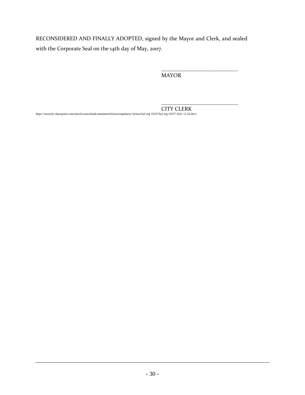RECONSIDERED AND FINALLY ADOPTED, signed by the Mayor and Clerk, and sealed with the Corporate Seal on the 14th day of May, 2007.

> \_\_\_\_\_\_\_\_\_\_\_\_\_\_\_\_\_\_\_\_\_\_\_\_\_\_\_\_ MAYOR

\_\_\_\_\_\_\_\_\_\_\_\_\_\_\_\_\_\_\_\_\_\_\_\_\_\_\_\_

https://surreybc.sharepoint.com/sites/lscouncilandcommittees/bylaws/regulatory bylaws/byl reg 16337/byl reg 16337 2021 12 24.docx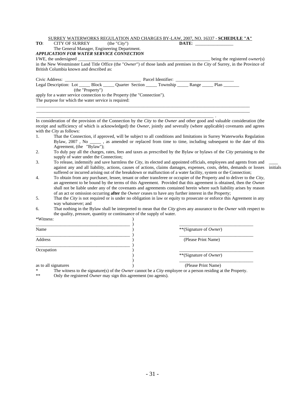|     | <u>SURREY WATERWORKS REGULATION AND CHARGES BY-LAW, 2007, NO. 16337 - SCHEDULE "A"</u>                                             |  |                                                                                                                                                                                                                                              |
|-----|------------------------------------------------------------------------------------------------------------------------------------|--|----------------------------------------------------------------------------------------------------------------------------------------------------------------------------------------------------------------------------------------------|
| TO: | CITY OF SURREY (the " $City$ ")                                                                                                    |  |                                                                                                                                                                                                                                              |
|     | The General Manager, Engineering Department.                                                                                       |  |                                                                                                                                                                                                                                              |
|     | <b>APPLICATION FOR WATER SERVICE CONNECTION</b>                                                                                    |  |                                                                                                                                                                                                                                              |
|     | I/WE, the undersigned                                                                                                              |  | being the registered owner(s)                                                                                                                                                                                                                |
|     |                                                                                                                                    |  | in the New Westminster Land Title Office (the "Owner") of those lands and premises in the City of Surrey, in the Province of                                                                                                                 |
|     | British Columbia known and described as:                                                                                           |  |                                                                                                                                                                                                                                              |
|     |                                                                                                                                    |  |                                                                                                                                                                                                                                              |
|     |                                                                                                                                    |  |                                                                                                                                                                                                                                              |
|     | Legal Description: Lot ________ Block ______ Quarter Section ______ Township _______ Range ______ Plan _______<br>(the "Property") |  |                                                                                                                                                                                                                                              |
|     | apply for a water service connection to the Property (the "Connection").                                                           |  |                                                                                                                                                                                                                                              |
|     | The purpose for which the water service is required:                                                                               |  |                                                                                                                                                                                                                                              |
|     |                                                                                                                                    |  |                                                                                                                                                                                                                                              |
|     |                                                                                                                                    |  |                                                                                                                                                                                                                                              |
|     |                                                                                                                                    |  |                                                                                                                                                                                                                                              |
|     |                                                                                                                                    |  | In consideration of the provision of the Connection by the <i>City</i> to the <i>Owner</i> and other good and valuable consideration (the                                                                                                    |
|     |                                                                                                                                    |  | receipt and sufficiency of which is acknowledged) the <i>Owner</i> , jointly and severally (where applicable) covenants and agrees                                                                                                           |
|     | with the <i>City</i> as follows:                                                                                                   |  |                                                                                                                                                                                                                                              |
| 1.  |                                                                                                                                    |  | That the Connection, if approved, will be subject to all conditions and limitations in Surrey Waterworks Regulation                                                                                                                          |
|     |                                                                                                                                    |  | Bylaw, 2007, No _____, as amended or replaced from time to time, including subsequent to the date of this                                                                                                                                    |
|     | Agreement, (the "Bylaw");                                                                                                          |  |                                                                                                                                                                                                                                              |
| 2.  |                                                                                                                                    |  | To duly pay all the charges, rates, fees and taxes as prescribed by the Bylaw or bylaws of the City pertaining to the                                                                                                                        |
|     | supply of water under the Connection;                                                                                              |  |                                                                                                                                                                                                                                              |
| 3.  |                                                                                                                                    |  | To release, indemnify and save harmless the City, its elected and appointed officials, employees and agents from and<br>against any and all liability, actions, causes of actions, claims damages, expenses, costs, debts, demands or losses |

 $\overline{\phantom{a}}$ initials

- suffered or incurred arising out of the breakdown or malfunction of a water facility, system or the Connection; 4. To obtain from any purchaser, lessee, tenant or other transferee or occupier of the Property and to deliver to the *City*, an agreement to be bound by the terms of this Agreement. Provided that this agreement is obtained, then the *Owner* shall not be liable under any of the covenants and agreements contained herein where such liability arises by reason of an act or omission occurring **after** the *Owner* ceases to have any further interest in the Property;
- 5. That the *City* is not required or is under no obligation in law or equity to prosecute or enforce this Agreement in any way whatsoever; and
- 6. That nothing in the Bylaw shall be interpreted to mean that the *City* gives any assurance to the *Owner* with respect to the quality, pressure, quantity or continuance of the supply of water.

| *Witness:            |                        |
|----------------------|------------------------|
| Name                 | **(Signature of Owner) |
| Address              | (Please Print Name)    |
| Occupation           |                        |
|                      | **(Signature of Owner) |
| as to all signatures | (Please Print Name)    |
|                      |                        |

\* The witness to the signature(s) of the *Owner* cannot be a *City* employee or a person residing at the Property.<br>\*\* Only the registered *Owner* may sign this agreement (no agents).

Only the registered *Owner* may sign this agreement (no agents).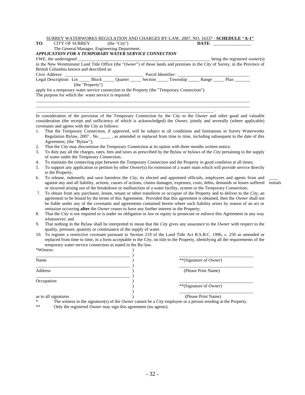|  | SURREY WATERWORKS REGULATION AND CHARGES BY-LAW. 2007. NO. 16337 - <b>SCHEDULE "A-1"</b> |
|--|------------------------------------------------------------------------------------------|
|  |                                                                                          |

| CITY OF SURREY $(the "City")$<br>TO:                                                                                         |  |  | DATE:                                 |  |
|------------------------------------------------------------------------------------------------------------------------------|--|--|---------------------------------------|--|
| The General Manager, Engineering Department.                                                                                 |  |  |                                       |  |
| APPLICATION FOR A TEMPORARY WATER SERVICE CONNECTION                                                                         |  |  |                                       |  |
|                                                                                                                              |  |  | being the registered <i>owner</i> (s) |  |
| in the New Westminster Land Title Office (the "Owner") of those lands and premises in the City of Surrey, in the Province of |  |  |                                       |  |
| British Columbia known and described as:                                                                                     |  |  |                                       |  |
|                                                                                                                              |  |  |                                       |  |
| Legal Description: Lot _______ Block _______ Quarter _______ Section _______ Township _______ Range ______ Plan _______      |  |  |                                       |  |
| (the "Property")                                                                                                             |  |  |                                       |  |
| apply for a temporary water service connection to the Property (the "Temporary Connection").                                 |  |  |                                       |  |
| The purpose for which the water service is required:                                                                         |  |  |                                       |  |
|                                                                                                                              |  |  |                                       |  |
|                                                                                                                              |  |  |                                       |  |

In consideration of the provision of the Temporary Connection by the *City* to the *Owner* and other good and valuable consideration (the receipt and sufficiency of which is acknowledged) the *Owner*, jointly and severally (where applicable) covenants and agrees with the *City* as follows:

- 1. That the Temporary Connection, if approved, will be subject to all conditions and limitations in Surrey Waterworks Regulation Bylaw, 2007 , No \_\_\_\_\_ , as amended or replaced from time to time, including subsequent to the date of this Agreement, (the "Bylaw");
- 2. That the *City* may discontinue the Temporary Connection at its option with three months written notice;

\_\_\_\_\_\_\_\_\_\_\_\_\_\_\_\_\_\_\_\_\_\_\_\_\_\_\_\_\_\_\_\_\_\_\_\_\_\_\_\_\_\_\_\_\_\_\_\_\_\_\_\_\_\_\_\_\_\_\_\_\_\_\_\_\_\_\_\_\_\_\_\_\_\_\_\_\_\_ .

- 3. To duly pay all the charges, rates, fees and taxes as prescribed by the Bylaw or bylaws of the *City* pertaining to the supply of water under the Temporary Connection;
- 4. To maintain the connecting pipe between the Temporary Connection and the Property in good condition at all times;
- 5. To support any application or petition by other *Owner*(s) for extension of a water main which will provide service directly to the Property;
- 6. To release, indemnify and save harmless the *City*, its elected and appointed officials, employees and agents from and against any and all liability, actions, causes of actions, claims damages, expenses, costs, debts, demands or losses suffered initialsor incurred arising out of the breakdown or malfunction of a water facility, system or the Temporary Connection;
- 7. To obtain from any purchaser, lessee, tenant or other transferee or occupier of the Property and to deliver to the *City*, an agreement to be bound by the terms of this Agreement. Provided that this agreement is obtained, then the *Owner* shall not be liable under any of the covenants and agreements contained herein where such liability arises by reason of an act or omission occurring **after** the *Owner* ceases to have any further interest in the Property;
- 8. That the *City* is not required or is under no obligation in law or equity to prosecute or enforce this Agreement in any way whatsoever; and
- 9. That nothing in the Bylaw shall be interpreted to mean that the *City* gives any assurance to the *Owner* with respect to the quality, pressure, quantity or continuance of the supply of water.
- 10. To register a restrictive covenant pursuant to Section 219 of the Land Title Act R.S.B.C. 1996, c. 250 as amended or replaced from time to time, in a form acceptable to the *City,* on title to the Property, identifying all the requirements of the temporary water service connection as stated in the By-law.

| *Witness:            |                        |  |
|----------------------|------------------------|--|
| Name                 | **(Signature of Owner) |  |
| Address              | (Please Print Name)    |  |
| Occupation           |                        |  |
|                      | **(Signature of Owner) |  |
|                      |                        |  |
| as to all signatures | (Please Print Name)    |  |

- \* The witness to the signature(s) of the *Owner* cannot be a *City* employee or a person residing at the Property.
- \*\* Only the registered *Owner* may sign this agreement (no agents).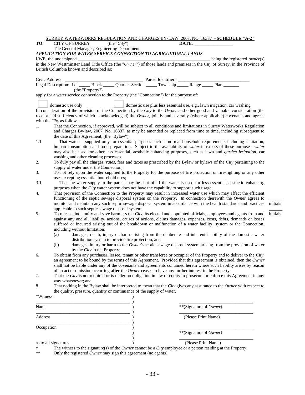|            |                                                                                                                    |                              |                                                     |                        | SURREY WATERWORKS REGULATION AND CHARGES BY-LAW, 2007, NO. 16337 - SCHEDULE "A-2"                                                                                                                                                         |          |
|------------|--------------------------------------------------------------------------------------------------------------------|------------------------------|-----------------------------------------------------|------------------------|-------------------------------------------------------------------------------------------------------------------------------------------------------------------------------------------------------------------------------------------|----------|
| TO:        | <b>CITY OF SURREY</b>                                                                                              |                              | (the "City")                                        |                        | DATE:                                                                                                                                                                                                                                     |          |
|            | The General Manager, Engineering Department.<br>APPLICATION FOR WATER SERVICE CONNECTION TO AGRICULTURAL LANDS     |                              |                                                     |                        |                                                                                                                                                                                                                                           |          |
|            | I/WE, the undersigned                                                                                              |                              |                                                     |                        | being the registered <i>owner</i> (s)                                                                                                                                                                                                     |          |
|            |                                                                                                                    |                              |                                                     |                        |                                                                                                                                                                                                                                           |          |
|            | British Columbia known and described as:                                                                           |                              |                                                     |                        |                                                                                                                                                                                                                                           |          |
|            |                                                                                                                    |                              |                                                     |                        |                                                                                                                                                                                                                                           |          |
|            |                                                                                                                    |                              |                                                     |                        |                                                                                                                                                                                                                                           |          |
|            | (the "Property")<br>apply for a water service connection to the Property (the "Connection") for the purpose of:    |                              |                                                     |                        |                                                                                                                                                                                                                                           |          |
|            | domestic use only                                                                                                  |                              |                                                     |                        | domestic use plus less essential use, e.g., lawn irrigation, car washing                                                                                                                                                                  |          |
|            |                                                                                                                    |                              |                                                     |                        | In consideration of the provision of the Connection by the City to the Owner and other good and valuable consideration (the                                                                                                               |          |
|            |                                                                                                                    |                              |                                                     |                        | receipt and sufficiency of which is acknowledged) the Owner, jointly and severally (where applicable) covenants and agrees                                                                                                                |          |
|            | with the City as follows:                                                                                          |                              |                                                     |                        |                                                                                                                                                                                                                                           |          |
| 1.         |                                                                                                                    |                              |                                                     |                        | That the Connection, if approved, will be subject to all conditions and limitations in Surrey Waterworks Regulation                                                                                                                       |          |
|            |                                                                                                                    |                              |                                                     |                        | and Charges By-law, 2007, No. 16337, as may be amended or replaced from time to time, including subsequent to                                                                                                                             |          |
| 1.1        | the date of this Agreement, (the "Bylaw");                                                                         |                              |                                                     |                        | That water is supplied only for essential purposes such as normal household requirements including sanitation,                                                                                                                            |          |
|            |                                                                                                                    |                              |                                                     |                        | human consumption and food preparation. Subject to the availability of water in excess of these purposes, water                                                                                                                           |          |
|            |                                                                                                                    |                              |                                                     |                        | may also be used for other less essential, aesthetic enhancing purposes, such as lawn and <i>garden irrigation</i> , car                                                                                                                  |          |
|            | washing and other cleaning processes.                                                                              |                              |                                                     |                        |                                                                                                                                                                                                                                           |          |
| 2.         |                                                                                                                    |                              |                                                     |                        | To duly pay all the charges, rates, fees and taxes as prescribed by the Bylaw or bylaws of the City pertaining to the                                                                                                                     |          |
|            | supply of water under the Connection;                                                                              |                              |                                                     |                        |                                                                                                                                                                                                                                           |          |
| 3.         |                                                                                                                    |                              |                                                     |                        | To not rely upon the water supplied to the Property for the purpose of fire protection or fire-fighting or any other                                                                                                                      |          |
|            | uses excepting essential household uses;                                                                           |                              |                                                     |                        |                                                                                                                                                                                                                                           |          |
| 3.1        | purposes when the City water system does not have the capability to support such usage;                            |                              |                                                     |                        | That the water supply to the parcel may be shut off if the water is used for less essential, aesthetic enhancing                                                                                                                          |          |
| 4.         |                                                                                                                    |                              |                                                     |                        | That provision of the Connection to the Property may result in increased water use which may affect the efficient                                                                                                                         |          |
|            |                                                                                                                    |                              |                                                     |                        | functioning of the septic sewage disposal system on the Property. In connection therewith the Owner agrees to                                                                                                                             |          |
|            |                                                                                                                    |                              |                                                     |                        | monitor and maintain any such septic sewage disposal system in accordance with the health standards and practices                                                                                                                         | initials |
|            | applicable to such septic sewage disposal system;                                                                  |                              |                                                     |                        |                                                                                                                                                                                                                                           |          |
| 5.         |                                                                                                                    |                              |                                                     |                        | To release, indemnify and save harmless the City, its elected and appointed officials, employees and agents from and                                                                                                                      | initials |
|            |                                                                                                                    |                              |                                                     |                        | against any and all liability, actions, causes of actions, claims damages, expenses, costs, debts, demands or losses                                                                                                                      |          |
|            | including without limitation:                                                                                      |                              |                                                     |                        | suffered or incurred arising out of the breakdown or malfunction of a water facility, system or the Connection,                                                                                                                           |          |
|            | (a)                                                                                                                |                              |                                                     |                        | damages, death, injury or harm arising from the deliberate and inherent inability of the domestic water                                                                                                                                   |          |
|            |                                                                                                                    |                              | distribution system to provide fire protection, and |                        |                                                                                                                                                                                                                                           |          |
|            | (b)                                                                                                                |                              |                                                     |                        | damages, injury or harm to the Owner's septic sewage disposal system arising from the provision of water                                                                                                                                  |          |
|            |                                                                                                                    | by the City to the Property; |                                                     |                        |                                                                                                                                                                                                                                           |          |
| 6.         |                                                                                                                    |                              |                                                     |                        | To obtain from any purchaser, lessee, tenant or other transferee or occupier of the Property and to deliver to the City,                                                                                                                  |          |
|            |                                                                                                                    |                              |                                                     |                        | an agreement to be bound by the terms of this Agreement. Provided that this agreement is obtained, then the Owner<br>shall not be liable under any of the covenants and agreements contained herein where such liability arises by reason |          |
|            | of an act or omission occurring <b>after</b> the <i>Owner</i> ceases to have any further interest in the Property; |                              |                                                     |                        |                                                                                                                                                                                                                                           |          |
| 7.         |                                                                                                                    |                              |                                                     |                        | That the City is not required or is under no obligation in law or equity to prosecute or enforce this Agreement in any                                                                                                                    |          |
|            | way whatsoever; and                                                                                                |                              |                                                     |                        |                                                                                                                                                                                                                                           |          |
| 8.         |                                                                                                                    |                              |                                                     |                        | That nothing in the Bylaw shall be interpreted to mean that the City gives any assurance to the Owner with respect to                                                                                                                     |          |
|            | the quality, pressure, quantity or continuance of the supply of water.                                             |                              |                                                     |                        |                                                                                                                                                                                                                                           |          |
| *Witness:  |                                                                                                                    |                              |                                                     |                        |                                                                                                                                                                                                                                           |          |
|            |                                                                                                                    |                              |                                                     | **(Signature of Owner) |                                                                                                                                                                                                                                           |          |
| Name       |                                                                                                                    |                              |                                                     |                        |                                                                                                                                                                                                                                           |          |
| Address    |                                                                                                                    |                              |                                                     | (Please Print Name)    |                                                                                                                                                                                                                                           |          |
|            |                                                                                                                    |                              |                                                     |                        |                                                                                                                                                                                                                                           |          |
| Occupation |                                                                                                                    |                              |                                                     |                        |                                                                                                                                                                                                                                           |          |
|            |                                                                                                                    |                              |                                                     | **(Signature of Owner) |                                                                                                                                                                                                                                           |          |
|            |                                                                                                                    |                              |                                                     | (Please Print Name)    |                                                                                                                                                                                                                                           |          |
|            | as to all signatures                                                                                               |                              |                                                     |                        |                                                                                                                                                                                                                                           |          |

\* The witness to the signature(s) of the *Owner* cannot be a *City* employee or a person residing at the Property.

\*\* Only the registered *Owner* may sign this agreement (no agents).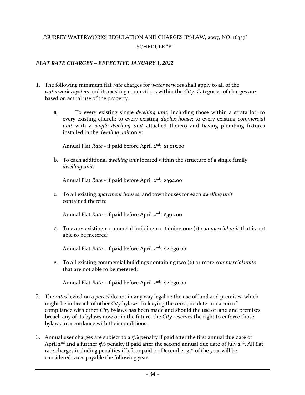# UURREY WATERWORKS REGULATION AND CHARGES BY-LAW, 2007, NO. 16337 SCHEDULE "B"

# <span id="page-37-0"></span>*FLAT RATE CHARGES – EFFECTIVE JANUARY 1, 2022*

- 1. The following minimum flat *rate* charges for *water services* shall apply to all of the *waterworks system* and its existing connections within the *City*. Categories of charges are based on actual use of the property.
	- a. To every existing single *dwelling unit*, including those within a strata lot; to every existing church; to every existing *duplex house*; to every existing *commercial unit* with a *single dwelling unit* attached thereto and having plumbing fixtures installed in the *dwelling unit* only:

Annual Flat *Rate* - if paid before April 2 nd: \$1,015.00

b. To each additional *dwelling unit* located within the structure of a single family *dwelling unit:*

Annual Flat *Rate* - if paid before April 2 nd: \$392.00

*c.* To all existing *apartment houses*, and townhouses for each *dwelling unit* contained therein:

Annual Flat *Rate* - if paid before April 2 nd: \$392.00

d. To every existing commercial building containing one (1) *commercial unit* that is not able to be metered:

Annual Flat *Rate* - if paid before April 2 nd: \$2,030.00

*e.* To all existing commercial buildings containing two (2) or more *commercial units* that are not able to be metered:

Annual Flat *Rate* - if paid before April 2<sup>nd</sup>: \$2,030.00

- 2. The *rates* levied on a *parcel* do not in any way legalize the use of land and premises, which might be in breach of other *City* bylaws. In levying the *rates*, no determination of compliance with other *City* bylaws has been made and should the use of land and premises breach any of its bylaws now or in the future, the *City* reserves the right to enforce those bylaws in accordance with their conditions.
- 3. Annual user charges are subject to a 5% penalty if paid after the first annual due date of April 2<sup>nd</sup> and a further 5% penalty if paid after the second annual due date of July 2<sup>nd</sup>. All flat rate charges including penalties if left unpaid on December  $31<sup>st</sup>$  of the year will be considered taxes payable the following year.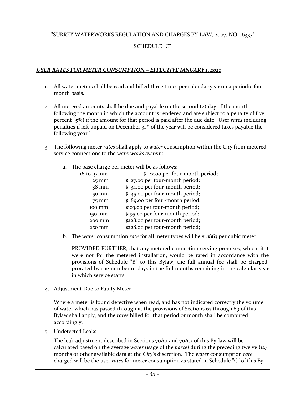#### "SURREY WATERWORKS REGULATION AND CHARGES BY-LAW, 2007, NO. 16337"

# SCHEDULE "C"

#### <sup>U</sup>*UUSER RATES FOR METER CONSUMPTION<sup>U</sup> – EFFECTIVE JANUARY 1, 2021*

- 1. All water meters shall be read and billed three times per calendar year on a periodic fourmonth basis.
- 2. All metered accounts shall be due and payable on the second (2) day of the month following the month in which the account is rendered and are subject to a penalty of five percent (5%) if the amount for that period is paid after the due date. User *rates* including penalties if left unpaid on December 31<sup>st</sup> of the year will be considered taxes payable the following year."
- 3. The following meter *rates* shall apply to *water* consumption within the *City* from metered service connections to the *waterworks system*:
	- a. The base charge per meter will be as follows:

| $16$ to $19$ mm | \$22.00 per four-month period;  |
|-----------------|---------------------------------|
| $25$ mm         | \$27.00 per four-month period;  |
| $38 \text{ mm}$ | \$34.00 per four-month period;  |
| 50 mm           | \$45.00 per four-month period;  |
| 75 mm           | \$89.00 per four-month period;  |
| 100 mm          | \$103.00 per four-month period; |
| 150 mm          | \$195.00 per four-month period; |
| 200 mm          | \$228.00 per four-month period; |
| 250 mm          | \$228.00 per four-month period; |
|                 |                                 |

b. The *water* consumption *rate* for all meter types will be \$1.1863 per cubic meter.

PROVIDED FURTHER, that any metered connection serving premises, which, if it were not for the metered installation, would be rated in accordance with the provisions of Schedule "B" to this Bylaw, the full annual fee shall be charged, prorated by the number of days in the full months remaining in the calendar year in which service starts.

4. Adjustment Due to Faulty Meter

Where a meter is found defective when read, and has not indicated correctly the volume of water which has passed through it, the provisions of Sections 67 through 69 of this Bylaw shall apply, and the *rates* billed for that period or month shall be computed accordingly.

5. Undetected Leaks

The leak adjustment described in Sections 70A.1 and 70A.2 of this By-law will be calculated based on the average *water* usage of the *parcel* during the preceding twelve (12) months or other available data at the *City*'s discretion. The *water* consumption *rate* charged will be the user *rate*s for meter consumption as stated in Schedule "C" of this By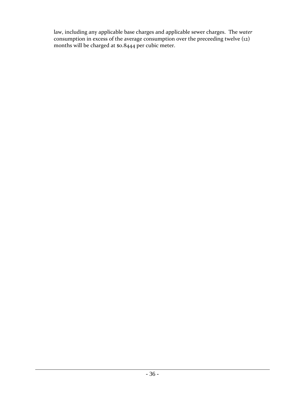law, including any applicable base charges and applicable sewer charges. The *water* consumption in excess of the average consumption over the preceeding twelve (12) months will be charged at \$0.8444 per cubic meter.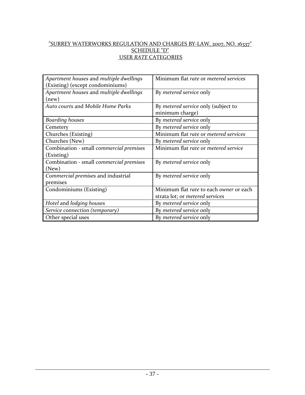#### "SURREY WATERWORKS REGULATION AND CHARGES BY-LAW, 2007, NO. 16337" SCHEDULE "D" USER *RATE* CATEGORIES

| Apartment houses and multiple dwellings | Minimum flat rate or metered services   |
|-----------------------------------------|-----------------------------------------|
| (Existing) (except condominiums)        |                                         |
| Apartment houses and multiple dwellings | By metered service only                 |
| (new)                                   |                                         |
| Auto courts and Mobile Home Parks       | By metered service only (subject to     |
|                                         | minimum charge)                         |
| Boarding houses                         | By metered service only                 |
| Cemetery                                | By metered service only                 |
| Churches (Existing)                     | Minimum flat rate or metered services   |
| Churches (New)                          | By metered service only                 |
| Combination - small commercial premises | Minimum flat rate or metered service    |
| (Existing)                              |                                         |
| Combination - small commercial premises | By metered service only                 |
| (New)                                   |                                         |
| Commercial premises and industrial      | By metered service only                 |
| premises                                |                                         |
| Condominiums (Existing)                 | Minimum flat rate to each owner or each |
|                                         | strata lot; or metered services         |
| Hotel and lodging houses                | By metered service only                 |
| Service connection (temporary)          | By metered service only                 |
| Other special uses                      | By metered service only                 |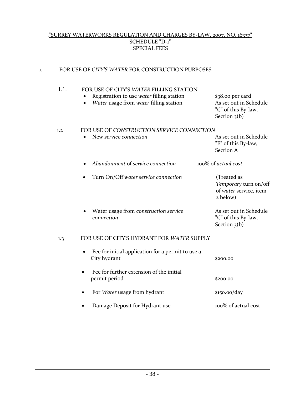#### "SURREY WATERWORKS REGULATION AND CHARGES BY-LAW, 2007, NO. 16337" SCHEDULE "D-1" **SPECIAL FEES**

# 1. FOR USE OF CITY'S WATER FOR CONSTRUCTION PURPOSES

| 1.1. | FOR USE OF CITY'S WATER FILLING STATION<br>Registration to use water filling station<br>Water usage from water filling station | \$38.00 per card<br>As set out in Schedule<br>"C" of this By-law,<br>Section $3(b)$ |
|------|--------------------------------------------------------------------------------------------------------------------------------|-------------------------------------------------------------------------------------|
| 1.2  | FOR USE OF CONSTRUCTION SERVICE CONNECTION                                                                                     |                                                                                     |
|      | New service connection                                                                                                         | As set out in Schedule<br>"E" of this By-law,<br>Section A                          |
|      | Abandonment of service connection                                                                                              | 100% of actual cost                                                                 |
|      | Turn On/Off water service connection                                                                                           | (Treated as<br>Temporary turn on/off<br>of water service, item<br>2 below)          |
|      | Water usage from construction service<br>connection                                                                            | As set out in Schedule<br>"C" of this By-law,<br>Section $3(b)$                     |
| 1.3  | FOR USE OF CITY'S HYDRANT FOR WATER SUPPLY                                                                                     |                                                                                     |
|      | Fee for initial application for a permit to use a<br>$\bullet$<br>City hydrant                                                 | \$200.00                                                                            |
|      | Fee for further extension of the initial<br>permit period                                                                      | \$200.00                                                                            |
|      | For Water usage from hydrant                                                                                                   | \$150.00/day                                                                        |
|      | Damage Deposit for Hydrant use                                                                                                 | 100% of actual cost                                                                 |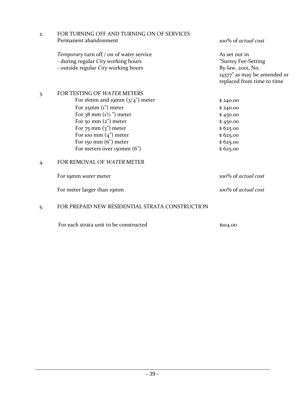| 2.               | FOR TURNING OFF AND TURNING ON OF SERVICES<br>Permanent abandonment                                                     | 100% of actual cost                                                                                                    |
|------------------|-------------------------------------------------------------------------------------------------------------------------|------------------------------------------------------------------------------------------------------------------------|
|                  | Temporary turn off / on of water service<br>- during regular City working hours<br>- outside regular City working hours | As set out in<br>"Surrey Fee-Setting<br>By-law, 2001, No.<br>14577" as may be amended or<br>replaced from time to time |
| $\overline{3}$ . | FOR TESTING OF WATER METERS                                                                                             |                                                                                                                        |
|                  | For 16mm and 19mm $(3/4)$ <sup>"</sup> ) meter                                                                          | \$240.00                                                                                                               |
|                  | For $25$ mm $(1")$ meter                                                                                                | \$240.00                                                                                                               |
|                  | For $38$ mm $(1\frac{1}{2})$ meter                                                                                      | \$450.00                                                                                                               |
|                  | For 50 mm $(zn)$ meter                                                                                                  | \$450.00                                                                                                               |
|                  | For $75$ mm $(3)$ <sup>"</sup> ) meter                                                                                  | \$625.00                                                                                                               |
|                  | For 100 mm $(4")$ meter                                                                                                 | \$625.00                                                                                                               |
|                  | For $150$ mm $(6")$ meter                                                                                               | \$625.00                                                                                                               |
|                  | For meters over 150mm (6")                                                                                              | \$625.00                                                                                                               |
| 4.               | FOR REMOVAL OF WATER METER                                                                                              |                                                                                                                        |
|                  | For 19mm water meter                                                                                                    | 100% of actual cost                                                                                                    |
|                  | For meter larger than 19mm                                                                                              | 100% of actual cost                                                                                                    |
| 5.               | FOR PREPAID NEW RESIDENTIAL STRATA CONSTRUCTION                                                                         |                                                                                                                        |

For each strata unit to be constructed  $$104.00$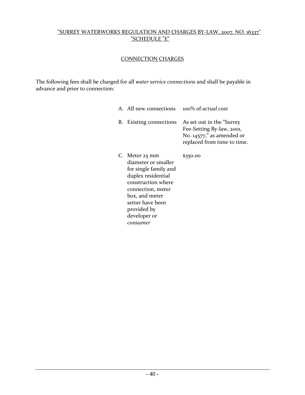#### "SURREY WATERWORKS REGULATION AND CHARGES BY-LAW, 2007, NO. 16337" "SCHEDULE "E"

#### CONNECTION CHARGES

The following fees shall be charged for all *water service connections* and shall be payable in advance and prior to connection:

| A. All new connections 100% of <i>actual cost</i>                                                      |                                                                                                                        |
|--------------------------------------------------------------------------------------------------------|------------------------------------------------------------------------------------------------------------------------|
| B. Existing connections                                                                                | As set out in the "Surrey"<br>Fee-Setting By-law, 2001,<br>No. $14577$ ," as amended or<br>replaced from time to time. |
| C. Meter 25 mm<br>diameter or smaller<br>for single family and<br>بالمتابع والمنافذ والمستندر المستندا | \$350.00                                                                                                               |

duplex residential construction where connection, meter box, and meter setter have been provided by developer or *consumer*